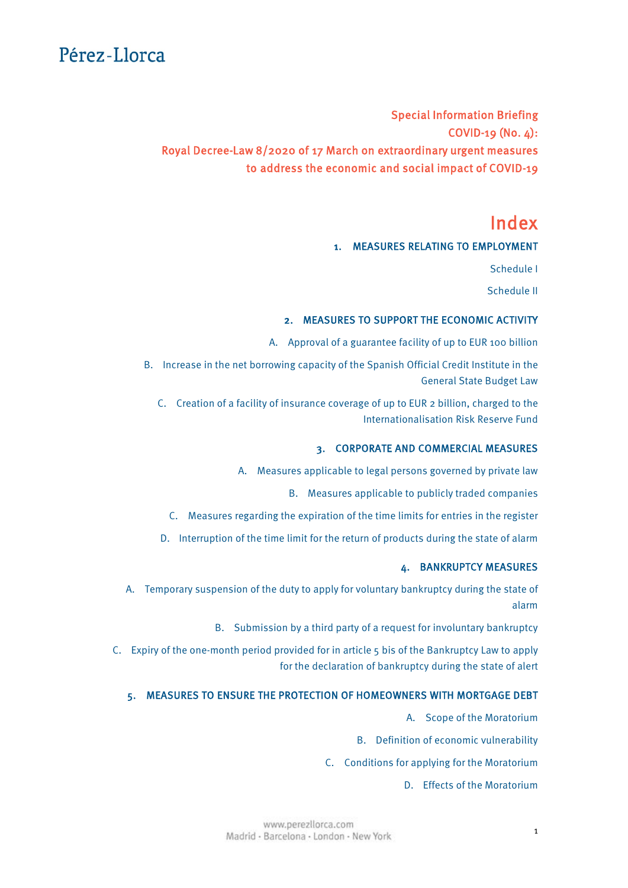Special Information Briefing COVID-19 (No. 4): Royal Decree-Law 8/2020 of 17 March on extraordinary urgent measures to address the economic and social impact of COVID-19

### Index

#### 1. [MEASURES RELATING TO EMPLOYMENT](#page-2-0)

Schedule I

Schedule II

#### 2. [MEASURES TO SUPPORT THE ECONOMIC ACTIVITY](#page-2-0)

A. Approval of a guarantee facility of up to EUR 100 billion

B. Increase in the net borrowing capacity of the Spanish Official Credit Institute in the General State Budget Law

C. Creation of a facility of insurance coverage of up to EUR 2 billion, charged to the Internationalisation Risk Reserve Fund

#### 3. [CORPORATE AND COMMERCIAL MEASURES](#page-7-0)

A. Measures applicable to legal persons governed by private law

B. Measures applicable to publicly traded companies

C. Measures regarding the expiration of the time limits for entries in the register

D. Interruption of the time limit for the return of products during the state of alarm

#### 4. [BANKRUPTCY MEASURES](#page-11-0)

A. Temporary suspension of the duty to apply for voluntary bankruptcy during the state of alarm

B. Submission by a third party of a request for involuntary bankruptcy

C. Expiry of the one-month period provided for in article 5 bis of the Bankruptcy Law to apply for the declaration of bankruptcy during the state of alert

#### 5. [MEASURES TO ENSURE THE PROTECTION OF HOMEOWNERS WITH MORTGAGE DEBT](#page-12-0)

A. Scope of the Moratorium

B. Definition of economic vulnerability

C. Conditions for applying for the Moratorium

D. Effects of the Moratorium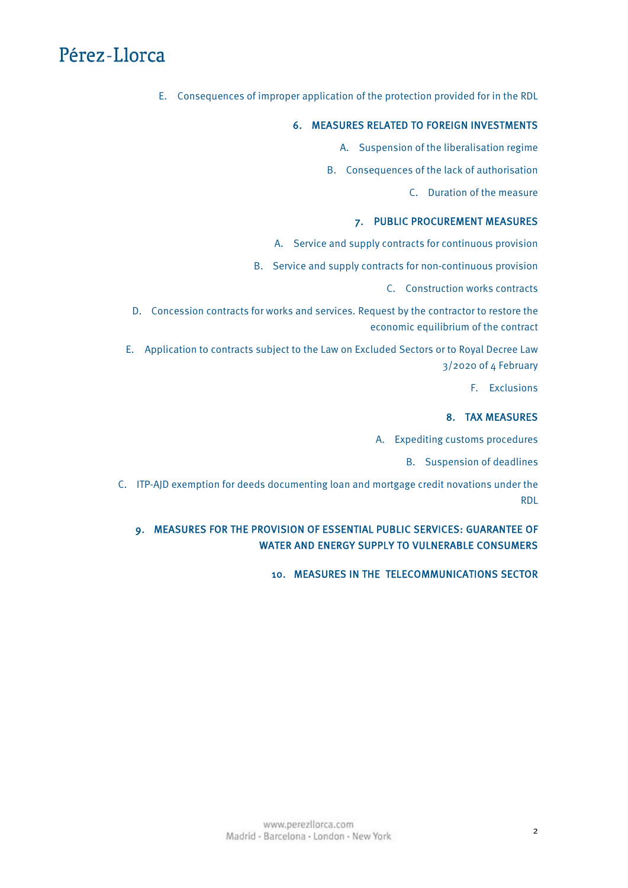E. Consequences of improper application of the protection provided for in the RDL

#### 6. [MEASURES RELATED TO FOREIGN INVESTMENTS](#page-16-0)

A. Suspension of the liberalisation regime

B. Consequences of the lack of authorisation

C. Duration of the measure

### 7. [PUBLIC PROCUREMENT MEASURES](#page-19-0)

A. Service and supply contracts for continuous provision

B. Service and supply contracts for non-continuous provision

C. Construction works contracts

D. Concession contracts for works and services. Request by the contractor to restore the economic equilibrium of the contract

E. Application to contracts subject to the Law on Excluded Sectors or to Royal Decree Law 3/2020 of 4 February

F. Exclusions

#### 8. [TAX MEASURES](#page-23-0)

A. Expediting customs procedures

B. Suspension of deadlines

C. ITP-AJD exemption for deeds documenting loan and mortgage credit novations under the RDL

### 9. [MEASURES FOR THE PROVISION OF ESSENTIAL PUBLIC SERVICES: GUARANTEE OF](#page-31-0) WATER AND ENERGY SUPPLY TO VULNERABLE CONSUMERS

10. [MEASURES IN THE TELECOMMUNICATIONS SECTOR](#page-32-0)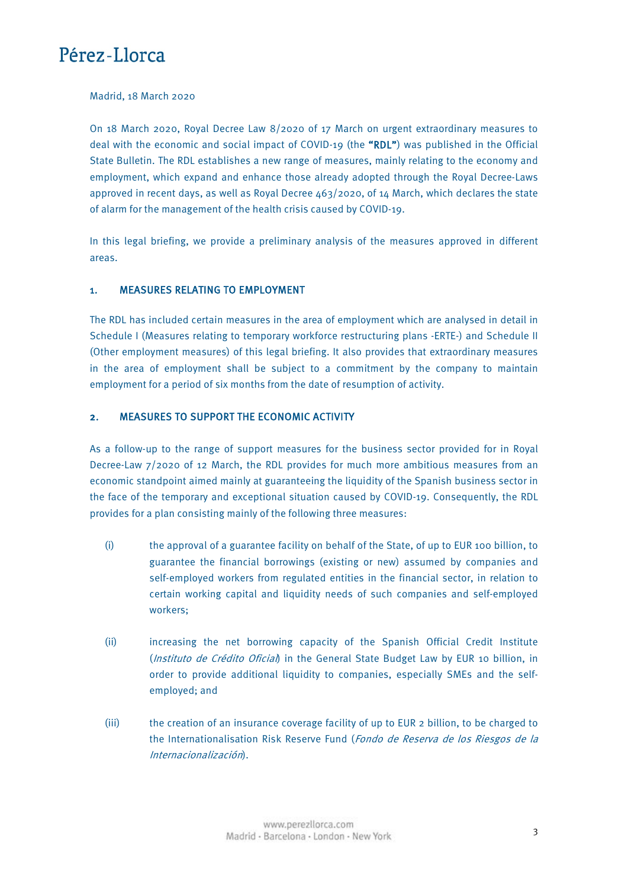<span id="page-2-0"></span>Madrid, 18 March 2020

On 18 March 2020, Royal Decree Law 8/2020 of 17 March on urgent extraordinary measures to deal with the economic and social impact of COVID-19 (the "RDL") was published in the Official State Bulletin. The RDL establishes a new range of measures, mainly relating to the economy and employment, which expand and enhance those already adopted through the Royal Decree-Laws approved in recent days, as well as Royal Decree 463/2020, of 14 March, which declares the state of alarm for the management of the health crisis caused by COVID-19.

In this legal briefing, we provide a preliminary analysis of the measures approved in different areas.

### 1. MEASURES RELATING TO EMPLOYMENT

The RDL has included certain measures in the area of employment which are analysed in detail in Schedule I (Measures relating to temporary workforce restructuring plans -ERTE-) and Schedule II (Other employment measures) of this legal briefing. It also provides that extraordinary measures in the area of employment shall be subject to a commitment by the company to maintain employment for a period of six months from the date of resumption of activity.

### 2. MEASURES TO SUPPORT THE ECONOMIC ACTIVITY

As a follow-up to the range of support measures for the business sector provided for in Royal Decree-Law 7/2020 of 12 March, the RDL provides for much more ambitious measures from an economic standpoint aimed mainly at guaranteeing the liquidity of the Spanish business sector in the face of the temporary and exceptional situation caused by COVID-19. Consequently, the RDL provides for a plan consisting mainly of the following three measures:

- (i) the approval of a guarantee facility on behalf of the State, of up to EUR 100 billion, to guarantee the financial borrowings (existing or new) assumed by companies and self-employed workers from regulated entities in the financial sector, in relation to certain working capital and liquidity needs of such companies and self-employed workers;
- (ii) increasing the net borrowing capacity of the Spanish Official Credit Institute (Instituto de Crédito Oficial) in the General State Budget Law by EUR 10 billion, in order to provide additional liquidity to companies, especially SMEs and the selfemployed; and
- (iii) the creation of an insurance coverage facility of up to EUR 2 billion, to be charged to the Internationalisation Risk Reserve Fund (Fondo de Reserva de los Riesgos de la Internacionalización).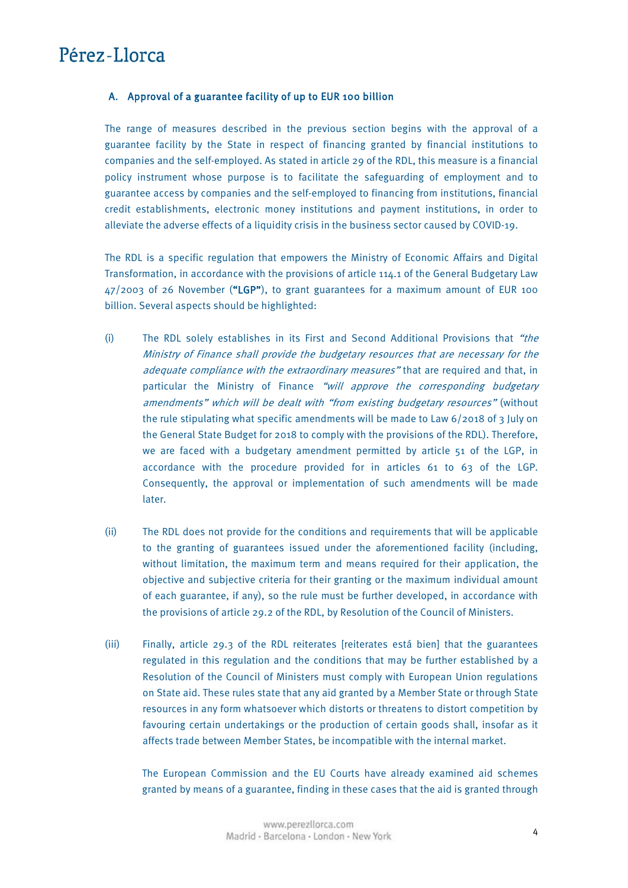#### A. Approval of a guarantee facility of up to EUR 100 billion

The range of measures described in the previous section begins with the approval of a guarantee facility by the State in respect of financing granted by financial institutions to companies and the self-employed. As stated in article 29 of the RDL, this measure is a financial policy instrument whose purpose is to facilitate the safeguarding of employment and to guarantee access by companies and the self-employed to financing from institutions, financial credit establishments, electronic money institutions and payment institutions, in order to alleviate the adverse effects of a liquidity crisis in the business sector caused by COVID-19.

The RDL is a specific regulation that empowers the Ministry of Economic Affairs and Digital Transformation, in accordance with the provisions of article 114.1 of the General Budgetary Law  $47/2003$  of 26 November ("LGP"), to grant guarantees for a maximum amount of EUR 100 billion. Several aspects should be highlighted:

- (i) The RDL solely establishes in its First and Second Additional Provisions that "the Ministry of Finance shall provide the budgetary resources that are necessary for the adequate compliance with the extraordinary measures" that are required and that, in particular the Ministry of Finance "will approve the corresponding budgetary amendments" which will be dealt with "from existing budgetary resources" (without the rule stipulating what specific amendments will be made to Law 6/2018 of 3 July on the General State Budget for 2018 to comply with the provisions of the RDL). Therefore, we are faced with a budgetary amendment permitted by article 51 of the LGP, in accordance with the procedure provided for in articles 61 to 63 of the LGP. Consequently, the approval or implementation of such amendments will be made later.
- (ii) The RDL does not provide for the conditions and requirements that will be applicable to the granting of guarantees issued under the aforementioned facility (including, without limitation, the maximum term and means required for their application, the objective and subjective criteria for their granting or the maximum individual amount of each guarantee, if any), so the rule must be further developed, in accordance with the provisions of article 29.2 of the RDL, by Resolution of the Council of Ministers.
- (iii) Finally, article 29.3 of the RDL reiterates [reiterates está bien] that the guarantees regulated in this regulation and the conditions that may be further established by a Resolution of the Council of Ministers must comply with European Union regulations on State aid. These rules state that any aid granted by a Member State or through State resources in any form whatsoever which distorts or threatens to distort competition by favouring certain undertakings or the production of certain goods shall, insofar as it affects trade between Member States, be incompatible with the internal market.

The European Commission and the EU Courts have already examined aid schemes granted by means of a guarantee, finding in these cases that the aid is granted through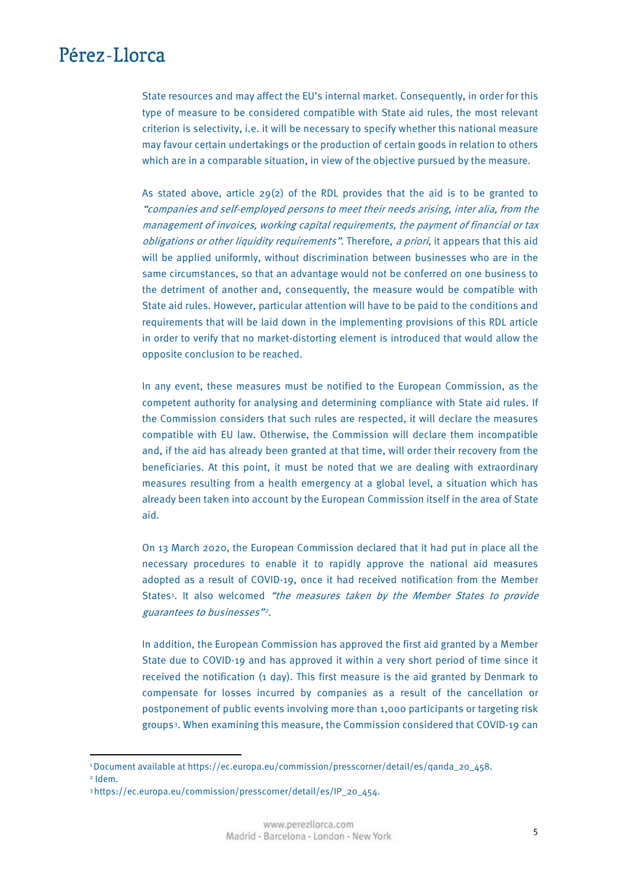State resources and may affect the EU's internal market. Consequently, in order for this type of measure to be considered compatible with State aid rules, the most relevant criterion is selectivity, i.e. it will be necessary to specify whether this national measure may favour certain undertakings or the production of certain goods in relation to others which are in a comparable situation, in view of the objective pursued by the measure.

As stated above, article  $29(2)$  of the RDL provides that the aid is to be granted to "companies and self-employed persons to meet their needs arising, inter alia, from the management of invoices, working capital requirements, the payment of financial or tax obligations or other liquidity requirements". Therefore, a priori, it appears that this aid will be applied uniformly, without discrimination between businesses who are in the same circumstances, so that an advantage would not be conferred on one business to the detriment of another and, consequently, the measure would be compatible with State aid rules. However, particular attention will have to be paid to the conditions and requirements that will be laid down in the implementing provisions of this RDL article in order to verify that no market-distorting element is introduced that would allow the opposite conclusion to be reached.

In any event, these measures must be notified to the European Commission, as the competent authority for analysing and determining compliance with State aid rules. If the Commission considers that such rules are respected, it will declare the measures compatible with EU law. Otherwise, the Commission will declare them incompatible and, if the aid has already been granted at that time, will order their recovery from the beneficiaries. At this point, it must be noted that we are dealing with extraordinary measures resulting from a health emergency at a global level, a situation which has already been taken into account by the European Commission itself in the area of State aid.

On 13 March 2020, the European Commission declared that it had put in place all the necessary procedures to enable it to rapidly approve the national aid measures adopted as a result of COVID-19, once it had received notification from the Member States<sup>[1](#page-4-0)</sup>. It also welcomed "the measures taken by the Member States to provide guarantees to businesses"<sup>[2](#page-4-1)</sup>.

In addition, the European Commission has approved the first aid granted by a Member State due to COVID-19 and has approved it within a very short period of time since it received the notification (1 day). This first measure is the aid granted by Denmark to compensate for losses incurred by companies as a result of the cancellation or postponement of public events involving more than 1,000 participants or targeting risk groups[3](#page-5-0). When examining this measure, the Commission considered that COVID-19 can

 $\overline{\phantom{a}}$ 

<sup>1</sup>Document available at https://ec.europa.eu/commission/presscorner/detail/es/qanda\_20\_458.

<span id="page-4-1"></span><span id="page-4-0"></span><sup>2</sup> Idem.

<sup>3</sup> [https://ec.europa.eu/commission/presscorner/detail/es/IP\\_20\\_454.](https://ec.europa.eu/commission/presscorner/detail/es/IP_20_454)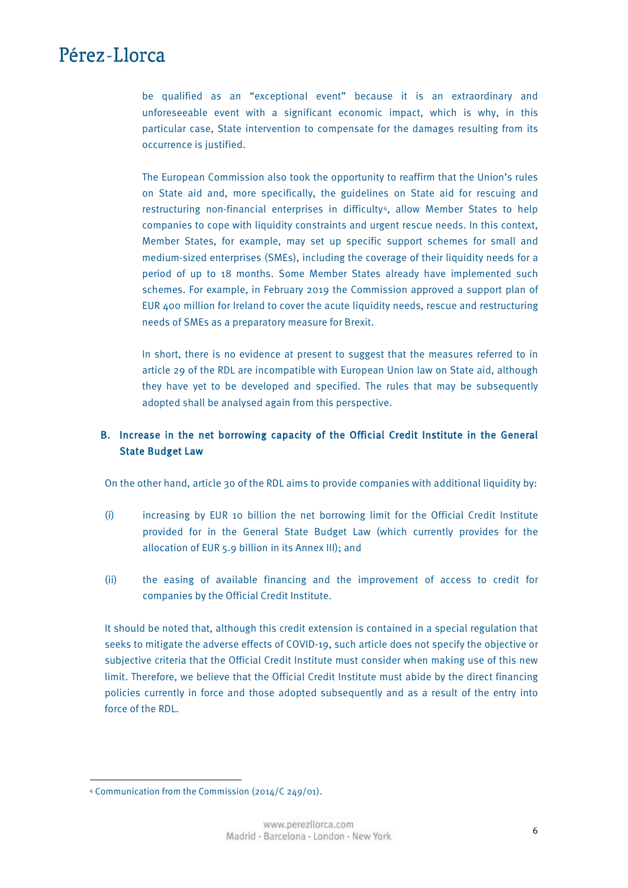be qualified as an "exceptional event" because it is an extraordinary and unforeseeable event with a significant economic impact, which is why, in this particular case, State intervention to compensate for the damages resulting from its occurrence is justified.

The European Commission also took the opportunity to reaffirm that the Union's rules on State aid and, more specifically, the guidelines on State aid for rescuing and restructuring non-financial enterprises in difficulty[4](#page-5-1), allow Member States to help companies to cope with liquidity constraints and urgent rescue needs. In this context, Member States, for example, may set up specific support schemes for small and medium-sized enterprises (SMEs), including the coverage of their liquidity needs for a period of up to 18 months. Some Member States already have implemented such schemes. For example, in February 2019 the Commission approved a support plan of EUR 400 million for Ireland to cover the acute liquidity needs, rescue and restructuring needs of SMEs as a preparatory measure for Brexit.

In short, there is no evidence at present to suggest that the measures referred to in article 29 of the RDL are incompatible with European Union law on State aid, although they have yet to be developed and specified. The rules that may be subsequently adopted shall be analysed again from this perspective.

### B. Increase in the net borrowing capacity of the Official Credit Institute in the General State Budget Law

On the other hand, article 30 of the RDL aims to provide companies with additional liquidity by:

- (i) increasing by EUR 10 billion the net borrowing limit for the Official Credit Institute provided for in the General State Budget Law (which currently provides for the allocation of EUR 5.9 billion in its Annex III); and
- (ii) the easing of available financing and the improvement of access to credit for companies by the Official Credit Institute.

It should be noted that, although this credit extension is contained in a special regulation that seeks to mitigate the adverse effects of COVID-19, such article does not specify the objective or subjective criteria that the Official Credit Institute must consider when making use of this new limit. Therefore, we believe that the Official Credit Institute must abide by the direct financing policies currently in force and those adopted subsequently and as a result of the entry into force of the RDL.

<u>.</u>

<span id="page-5-1"></span><span id="page-5-0"></span><sup>4</sup> Communication from the Commission (2014/C 249/01).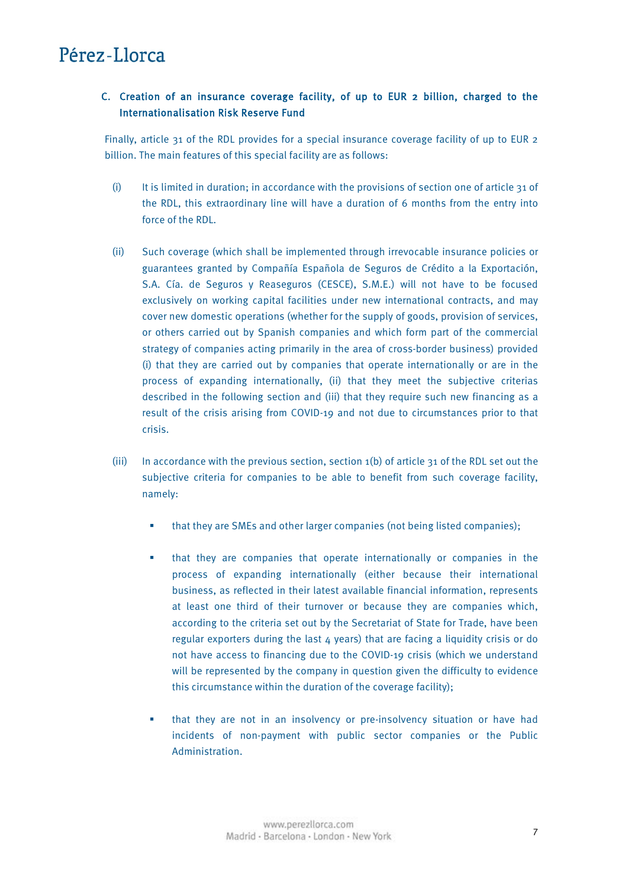### C. Creation of an insurance coverage facility, of up to EUR 2 billion, charged to the Internationalisation Risk Reserve Fund

Finally, article 31 of the RDL provides for a special insurance coverage facility of up to EUR 2 billion. The main features of this special facility are as follows:

- (i) It is limited in duration; in accordance with the provisions of section one of article 31 of the RDL, this extraordinary line will have a duration of 6 months from the entry into force of the RDL.
- (ii) Such coverage (which shall be implemented through irrevocable insurance policies or guarantees granted by Compañía Española de Seguros de Crédito a la Exportación, S.A. Cía. de Seguros y Reaseguros (CESCE), S.M.E.) will not have to be focused exclusively on working capital facilities under new international contracts, and may cover new domestic operations (whether for the supply of goods, provision of services, or others carried out by Spanish companies and which form part of the commercial strategy of companies acting primarily in the area of cross-border business) provided (i) that they are carried out by companies that operate internationally or are in the process of expanding internationally, (ii) that they meet the subjective criterias described in the following section and (iii) that they require such new financing as a result of the crisis arising from COVID-19 and not due to circumstances prior to that crisis.
- (iii) In accordance with the previous section, section  $1(b)$  of article 31 of the RDL set out the subjective criteria for companies to be able to benefit from such coverage facility, namely:
	- that they are SMEs and other larger companies (not being listed companies);
	- that they are companies that operate internationally or companies in the process of expanding internationally (either because their international business, as reflected in their latest available financial information, represents at least one third of their turnover or because they are companies which, according to the criteria set out by the Secretariat of State for Trade, have been regular exporters during the last  $4$  years) that are facing a liquidity crisis or do not have access to financing due to the COVID-19 crisis (which we understand will be represented by the company in question given the difficulty to evidence this circumstance within the duration of the coverage facility);
	- that they are not in an insolvency or pre-insolvency situation or have had incidents of non-payment with public sector companies or the Public Administration.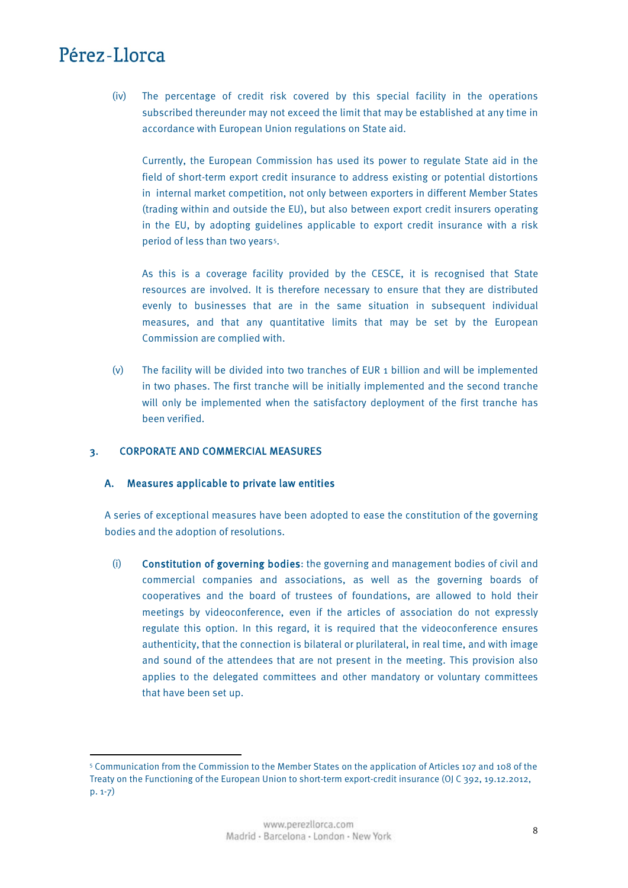$\overline{\phantom{a}}$ 

<span id="page-7-0"></span>(iv) The percentage of credit risk covered by this special facility in the operations subscribed thereunder may not exceed the limit that may be established at any time in accordance with European Union regulations on State aid.

Currently, the European Commission has used its power to regulate State aid in the field of short-term export credit insurance to address existing or potential distortions in internal market competition, not only between exporters in different Member States (trading within and outside the EU), but also between export credit insurers operating in the EU, by adopting guidelines applicable to export credit insurance with a risk period of less than two years<sup>[5](#page-7-1)</sup>.

As this is a coverage facility provided by the CESCE, it is recognised that State resources are involved. It is therefore necessary to ensure that they are distributed evenly to businesses that are in the same situation in subsequent individual measures, and that any quantitative limits that may be set by the European Commission are complied with.

(v) The facility will be divided into two tranches of EUR 1 billion and will be implemented in two phases. The first tranche will be initially implemented and the second tranche will only be implemented when the satisfactory deployment of the first tranche has been verified.

#### 3. CORPORATE AND COMMERCIAL MEASURES

#### A. Measures applicable to private law entities

A series of exceptional measures have been adopted to ease the constitution of the governing bodies and the adoption of resolutions.

(i) Constitution of governing bodies: the governing and management bodies of civil and commercial companies and associations, as well as the governing boards of cooperatives and the board of trustees of foundations, are allowed to hold their meetings by videoconference, even if the articles of association do not expressly regulate this option. In this regard, it is required that the videoconference ensures authenticity, that the connection is bilateral or plurilateral, in real time, and with image and sound of the attendees that are not present in the meeting. This provision also applies to the delegated committees and other mandatory or voluntary committees that have been set up.

<span id="page-7-1"></span><sup>5</sup> Communication from the Commission to the Member States on the application of Articles 107 and 108 of the Treaty on the Functioning of the European Union to short-term export-credit insurance (OJ C 392, 19.12.2012, p. 1-7)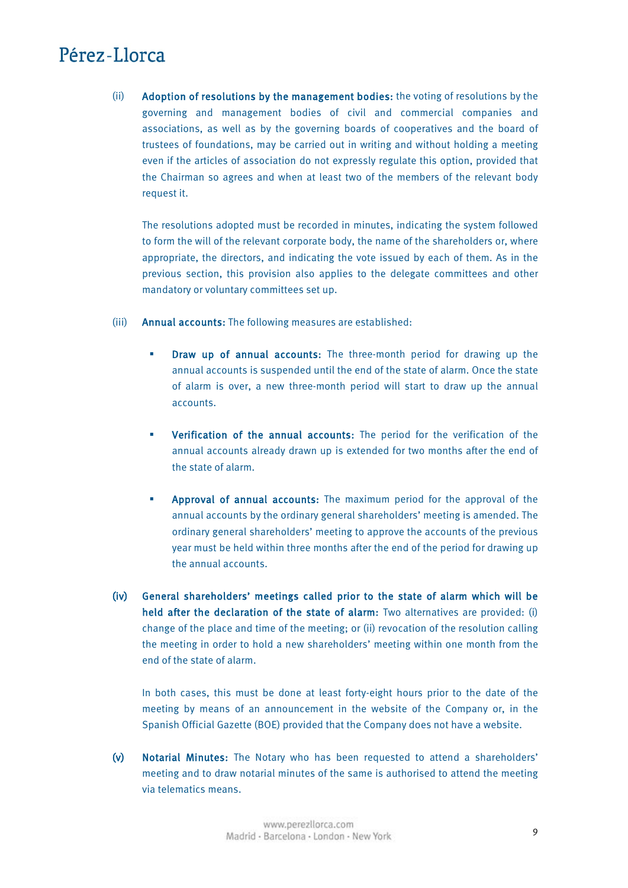(ii) Adoption of resolutions by the management bodies: the voting of resolutions by the governing and management bodies of civil and commercial companies and associations, as well as by the governing boards of cooperatives and the board of trustees of foundations, may be carried out in writing and without holding a meeting even if the articles of association do not expressly regulate this option, provided that the Chairman so agrees and when at least two of the members of the relevant body request it.

The resolutions adopted must be recorded in minutes, indicating the system followed to form the will of the relevant corporate body, the name of the shareholders or, where appropriate, the directors, and indicating the vote issued by each of them. As in the previous section, this provision also applies to the delegate committees and other mandatory or voluntary committees set up.

- (iii) Annual accounts: The following measures are established:
	- Draw up of annual accounts: The three-month period for drawing up the annual accounts is suspended until the end of the state of alarm. Once the state of alarm is over, a new three-month period will start to draw up the annual accounts.
	- Verification of the annual accounts: The period for the verification of the annual accounts already drawn up is extended for two months after the end of the state of alarm.
	- Approval of annual accounts: The maximum period for the approval of the annual accounts by the ordinary general shareholders' meeting is amended. The ordinary general shareholders' meeting to approve the accounts of the previous year must be held within three months after the end of the period for drawing up the annual accounts.
- (iv) General shareholders' meetings called prior to the state of alarm which will be held after the declaration of the state of alarm: Two alternatives are provided: (i) change of the place and time of the meeting; or (ii) revocation of the resolution calling the meeting in order to hold a new shareholders' meeting within one month from the end of the state of alarm.

In both cases, this must be done at least forty-eight hours prior to the date of the meeting by means of an announcement in the website of the Company or, in the Spanish Official Gazette (BOE) provided that the Company does not have a website.

(v) Notarial Minutes: The Notary who has been requested to attend a shareholders' meeting and to draw notarial minutes of the same is authorised to attend the meeting via telematics means.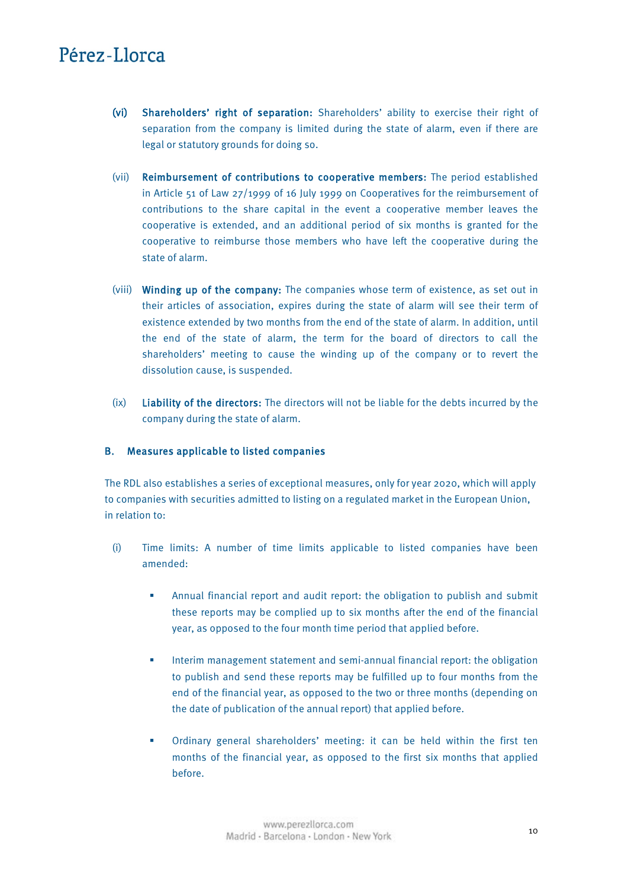- (vi) Shareholders' right of separation: Shareholders' ability to exercise their right of separation from the company is limited during the state of alarm, even if there are legal or statutory grounds for doing so.
- (vii) Reimbursement of contributions to cooperative members: The period established in Article 51 of Law 27/1999 of 16 July 1999 on Cooperatives for the reimbursement of contributions to the share capital in the event a cooperative member leaves the cooperative is extended, and an additional period of six months is granted for the cooperative to reimburse those members who have left the cooperative during the state of alarm.
- (viii) Winding up of the company: The companies whose term of existence, as set out in their articles of association, expires during the state of alarm will see their term of existence extended by two months from the end of the state of alarm. In addition, until the end of the state of alarm, the term for the board of directors to call the shareholders' meeting to cause the winding up of the company or to revert the dissolution cause, is suspended.
- (ix) Liability of the directors: The directors will not be liable for the debts incurred by the company during the state of alarm.

#### B. Measures applicable to listed companies

The RDL also establishes a series of exceptional measures, only for year 2020, which will apply to companies with securities admitted to listing on a regulated market in the European Union, in relation to:

- (i) Time limits: A number of time limits applicable to listed companies have been amended:
	- Annual financial report and audit report: the obligation to publish and submit these reports may be complied up to six months after the end of the financial year, as opposed to the four month time period that applied before.
	- Interim management statement and semi-annual financial report: the obligation to publish and send these reports may be fulfilled up to four months from the end of the financial year, as opposed to the two or three months (depending on the date of publication of the annual report) that applied before.
	- Ordinary general shareholders' meeting: it can be held within the first ten months of the financial year, as opposed to the first six months that applied before.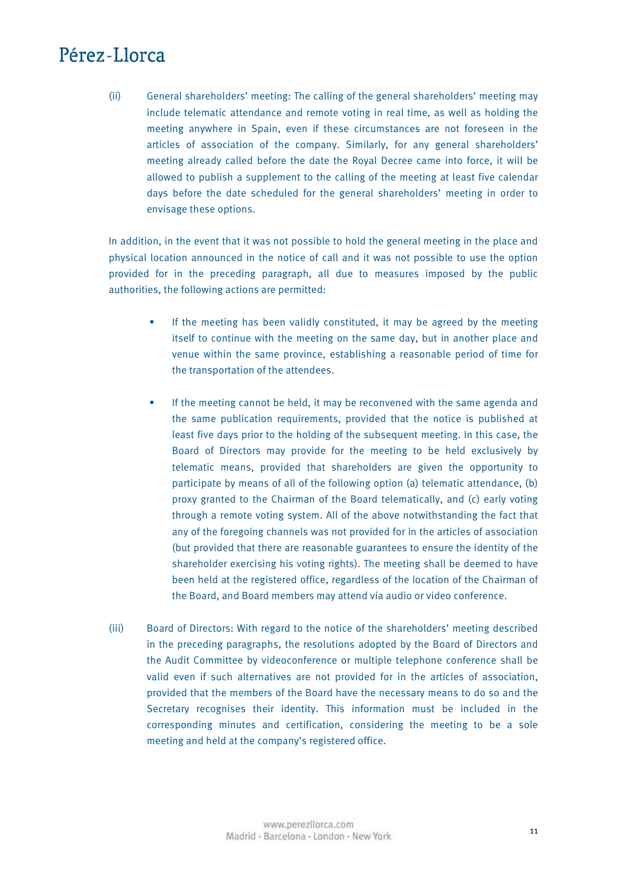(ii) General shareholders' meeting: The calling of the general shareholders' meeting may include telematic attendance and remote voting in real time, as well as holding the meeting anywhere in Spain, even if these circumstances are not foreseen in the articles of association of the company. Similarly, for any general shareholders' meeting already called before the date the Royal Decree came into force, it will be allowed to publish a supplement to the calling of the meeting at least five calendar days before the date scheduled for the general shareholders' meeting in order to envisage these options.

In addition, in the event that it was not possible to hold the general meeting in the place and physical location announced in the notice of call and it was not possible to use the option provided for in the preceding paragraph, all due to measures imposed by the public authorities, the following actions are permitted:

- If the meeting has been validly constituted, it may be agreed by the meeting itself to continue with the meeting on the same day, but in another place and venue within the same province, establishing a reasonable period of time for the transportation of the attendees.
- If the meeting cannot be held, it may be reconvened with the same agenda and the same publication requirements, provided that the notice is published at least five days prior to the holding of the subsequent meeting. In this case, the Board of Directors may provide for the meeting to be held exclusively by telematic means, provided that shareholders are given the opportunity to participate by means of all of the following option (a) telematic attendance, (b) proxy granted to the Chairman of the Board telematically, and (c) early voting through a remote voting system. All of the above notwithstanding the fact that any of the foregoing channels was not provided for in the articles of association (but provided that there are reasonable guarantees to ensure the identity of the shareholder exercising his voting rights). The meeting shall be deemed to have been held at the registered office, regardless of the location of the Chairman of the Board, and Board members may attend via audio or video conference.
- (iii) Board of Directors: With regard to the notice of the shareholders' meeting described in the preceding paragraphs, the resolutions adopted by the Board of Directors and the Audit Committee by videoconference or multiple telephone conference shall be valid even if such alternatives are not provided for in the articles of association, provided that the members of the Board have the necessary means to do so and the Secretary recognises their identity. This information must be included in the corresponding minutes and certification, considering the meeting to be a sole meeting and held at the company's registered office.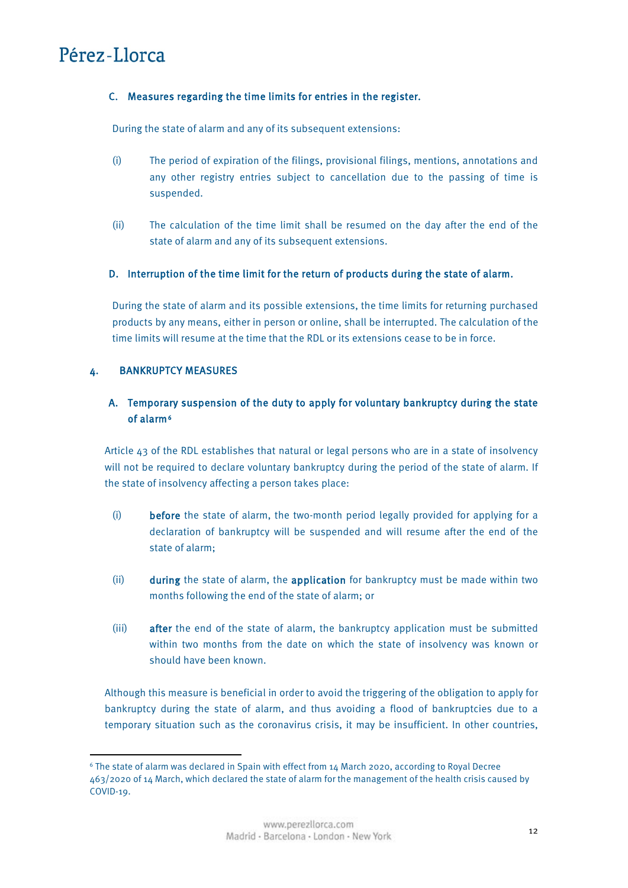#### <span id="page-11-0"></span>C. Measures regarding the time limits for entries in the register.

During the state of alarm and any of its subsequent extensions:

- (i) The period of expiration of the filings, provisional filings, mentions, annotations and any other registry entries subject to cancellation due to the passing of time is suspended.
- (ii) The calculation of the time limit shall be resumed on the day after the end of the state of alarm and any of its subsequent extensions.

#### D. Interruption of the time limit for the return of products during the state of alarm.

During the state of alarm and its possible extensions, the time limits for returning purchased products by any means, either in person or online, shall be interrupted. The calculation of the time limits will resume at the time that the RDL or its extensions cease to be in force.

#### 4. BANKRUPTCY MEASURES

 $\overline{\phantom{a}}$ 

### A. Temporary suspension of the duty to apply for voluntary bankruptcy during the state of alarm<sup>6</sup>

Article 43 of the RDL establishes that natural or legal persons who are in a state of insolvency will not be required to declare voluntary bankruptcy during the period of the state of alarm. If the state of insolvency affecting a person takes place:

- (i) before the state of alarm, the two-month period legally provided for applying for a declaration of bankruptcy will be suspended and will resume after the end of the state of alarm;
- (ii) during the state of alarm, the application for bankruptcy must be made within two months following the end of the state of alarm; or
- (iii) after the end of the state of alarm, the bankruptcy application must be submitted within two months from the date on which the state of insolvency was known or should have been known.

Although this measure is beneficial in order to avoid the triggering of the obligation to apply for bankruptcy during the state of alarm, and thus avoiding a flood of bankruptcies due to a temporary situation such as the coronavirus crisis, it may be insufficient. In other countries,

<span id="page-11-1"></span><sup>6</sup> The state of alarm was declared in Spain with effect from 14 March 2020, according to Royal Decree 463/2020 of 14 March, which declared the state of alarm for the management of the health crisis caused by COVID-19.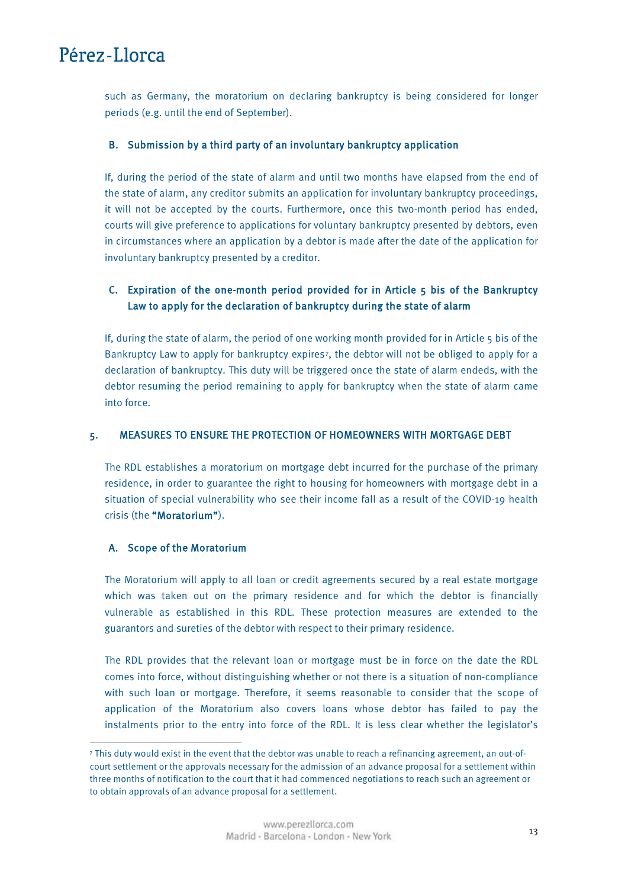<span id="page-12-0"></span>such as Germany, the moratorium on declaring bankruptcy is being considered for longer periods (e.g. until the end of September).

#### B. Submission by a third party of an involuntary bankruptcy application

If, during the period of the state of alarm and until two months have elapsed from the end of the state of alarm, any creditor submits an application for involuntary bankruptcy proceedings, it will not be accepted by the courts. Furthermore, once this two-month period has ended, courts will give preference to applications for voluntary bankruptcy presented by debtors, even in circumstances where an application by a debtor is made after the date of the application for involuntary bankruptcy presented by a creditor.

### C. Expiration of the one-month period provided for in Article 5 bis of the Bankruptcy Law to apply for the declaration of bankruptcy during the state of alarm

If, during the state of alarm, the period of one working month provided for in Article 5 bis of the Bankruptcy Law to apply for bankruptcy expires[7,](#page-12-1) the debtor will not be obliged to apply for a declaration of bankruptcy. This duty will be triggered once the state of alarm endeds, with the debtor resuming the period remaining to apply for bankruptcy when the state of alarm came into force.

#### 5. MEASURES TO ENSURE THE PROTECTION OF HOMEOWNERS WITH MORTGAGE DEBT

The RDL establishes a moratorium on mortgage debt incurred for the purchase of the primary residence, in order to guarantee the right to housing for homeowners with mortgage debt in a situation of special vulnerability who see their income fall as a result of the COVID-19 health crisis (the "Moratorium").

#### A. Scope of the Moratorium

 $\overline{\phantom{a}}$ 

The Moratorium will apply to all loan or credit agreements secured by a real estate mortgage which was taken out on the primary residence and for which the debtor is financially vulnerable as established in this RDL. These protection measures are extended to the guarantors and sureties of the debtor with respect to their primary residence.

The RDL provides that the relevant loan or mortgage must be in force on the date the RDL comes into force, without distinguishing whether or not there is a situation of non-compliance with such loan or mortgage. Therefore, it seems reasonable to consider that the scope of application of the Moratorium also covers loans whose debtor has failed to pay the instalments prior to the entry into force of the RDL. It is less clear whether the legislator's

<span id="page-12-1"></span><sup>7</sup> This duty would exist in the event that the debtor was unable to reach a refinancing agreement, an out-ofcourt settlement or the approvals necessary for the admission of an advance proposal for a settlement within three months of notification to the court that it had commenced negotiations to reach such an agreement or to obtain approvals of an advance proposal for a settlement.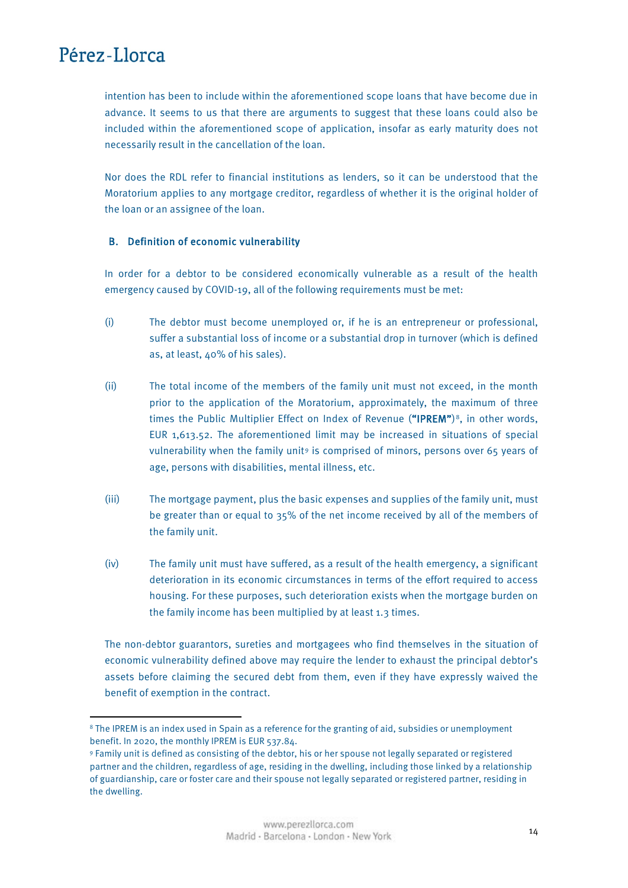**.** 

intention has been to include within the aforementioned scope loans that have become due in advance. It seems to us that there are arguments to suggest that these loans could also be included within the aforementioned scope of application, insofar as early maturity does not necessarily result in the cancellation of the loan.

Nor does the RDL refer to financial institutions as lenders, so it can be understood that the Moratorium applies to any mortgage creditor, regardless of whether it is the original holder of the loan or an assignee of the loan.

#### B. Definition of economic vulnerability

In order for a debtor to be considered economically vulnerable as a result of the health emergency caused by COVID-19, all of the following requirements must be met:

- (i) The debtor must become unemployed or, if he is an entrepreneur or professional, suffer a substantial loss of income or a substantial drop in turnover (which is defined as, at least, 40% of his sales).
- (ii) The total income of the members of the family unit must not exceed, in the month prior to the application of the Moratorium, approximately, the maximum of three times the Public Multiplier Effect on Index of Revenue ("IPREM")<sup>8</sup>, in other words, EUR 1,613.52. The aforementioned limit may be increased in situations of special vulnerability when the family unit[9](#page-13-1) is comprised of minors, persons over 65 years of age, persons with disabilities, mental illness, etc.
- (iii) The mortgage payment, plus the basic expenses and supplies of the family unit, must be greater than or equal to 35% of the net income received by all of the members of the family unit.
- (iv) The family unit must have suffered, as a result of the health emergency, a significant deterioration in its economic circumstances in terms of the effort required to access housing. For these purposes, such deterioration exists when the mortgage burden on the family income has been multiplied by at least 1.3 times.

The non-debtor guarantors, sureties and mortgagees who find themselves in the situation of economic vulnerability defined above may require the lender to exhaust the principal debtor's assets before claiming the secured debt from them, even if they have expressly waived the benefit of exemption in the contract.

<span id="page-13-0"></span><sup>8</sup> The IPREM is an index used in Spain as a reference for the granting of aid, subsidies or unemployment benefit. In 2020, the monthly IPREM is EUR 537.84.

<span id="page-13-1"></span><sup>9</sup> Family unit is defined as consisting of the debtor, his or her spouse not legally separated or registered partner and the children, regardless of age, residing in the dwelling, including those linked by a relationship of guardianship, care or foster care and their spouse not legally separated or registered partner, residing in the dwelling.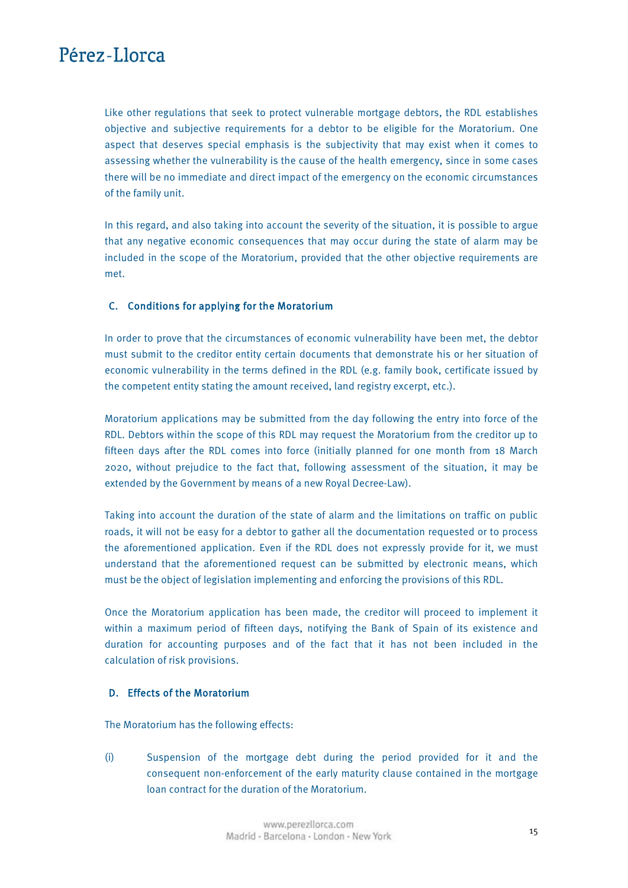Like other regulations that seek to protect vulnerable mortgage debtors, the RDL establishes objective and subjective requirements for a debtor to be eligible for the Moratorium. One aspect that deserves special emphasis is the subjectivity that may exist when it comes to assessing whether the vulnerability is the cause of the health emergency, since in some cases there will be no immediate and direct impact of the emergency on the economic circumstances of the family unit.

In this regard, and also taking into account the severity of the situation, it is possible to argue that any negative economic consequences that may occur during the state of alarm may be included in the scope of the Moratorium, provided that the other objective requirements are met.

### C. Conditions for applying for the Moratorium

In order to prove that the circumstances of economic vulnerability have been met, the debtor must submit to the creditor entity certain documents that demonstrate his or her situation of economic vulnerability in the terms defined in the RDL (e.g. family book, certificate issued by the competent entity stating the amount received, land registry excerpt, etc.).

Moratorium applications may be submitted from the day following the entry into force of the RDL. Debtors within the scope of this RDL may request the Moratorium from the creditor up to fifteen days after the RDL comes into force (initially planned for one month from 18 March 2020, without prejudice to the fact that, following assessment of the situation, it may be extended by the Government by means of a new Royal Decree-Law).

Taking into account the duration of the state of alarm and the limitations on traffic on public roads, it will not be easy for a debtor to gather all the documentation requested or to process the aforementioned application. Even if the RDL does not expressly provide for it, we must understand that the aforementioned request can be submitted by electronic means, which must be the object of legislation implementing and enforcing the provisions of this RDL.

Once the Moratorium application has been made, the creditor will proceed to implement it within a maximum period of fifteen days, notifying the Bank of Spain of its existence and duration for accounting purposes and of the fact that it has not been included in the calculation of risk provisions.

#### D. Effects of the Moratorium

The Moratorium has the following effects:

(i) Suspension of the mortgage debt during the period provided for it and the consequent non-enforcement of the early maturity clause contained in the mortgage loan contract for the duration of the Moratorium.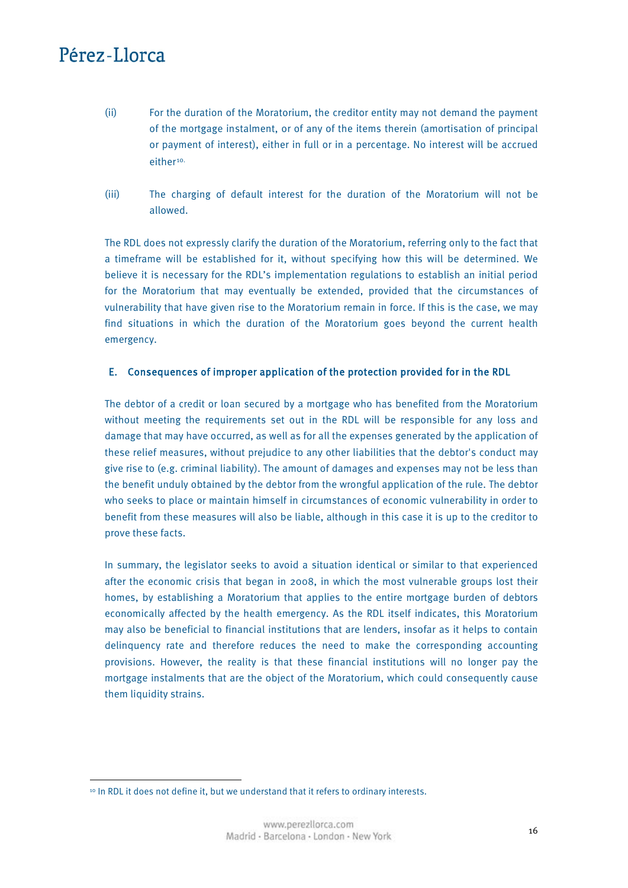<u>.</u>

- (ii) For the duration of the Moratorium, the creditor entity may not demand the payment of the mortgage instalment, or of any of the items therein (amortisation of principal or payment of interest), either in full or in a percentage. No interest will be accrued either [10](#page-15-0).
- (iii) The charging of default interest for the duration of the Moratorium will not be allowed.

The RDL does not expressly clarify the duration of the Moratorium, referring only to the fact that a timeframe will be established for it, without specifying how this will be determined. We believe it is necessary for the RDL's implementation regulations to establish an initial period for the Moratorium that may eventually be extended, provided that the circumstances of vulnerability that have given rise to the Moratorium remain in force. If this is the case, we may find situations in which the duration of the Moratorium goes beyond the current health emergency.

#### E. Consequences of improper application of the protection provided for in the RDL

The debtor of a credit or loan secured by a mortgage who has benefited from the Moratorium without meeting the requirements set out in the RDL will be responsible for any loss and damage that may have occurred, as well as for all the expenses generated by the application of these relief measures, without prejudice to any other liabilities that the debtor's conduct may give rise to (e.g. criminal liability). The amount of damages and expenses may not be less than the benefit unduly obtained by the debtor from the wrongful application of the rule. The debtor who seeks to place or maintain himself in circumstances of economic vulnerability in order to benefit from these measures will also be liable, although in this case it is up to the creditor to prove these facts.

In summary, the legislator seeks to avoid a situation identical or similar to that experienced after the economic crisis that began in 2008, in which the most vulnerable groups lost their homes, by establishing a Moratorium that applies to the entire mortgage burden of debtors economically affected by the health emergency. As the RDL itself indicates, this Moratorium may also be beneficial to financial institutions that are lenders, insofar as it helps to contain delinquency rate and therefore reduces the need to make the corresponding accounting provisions. However, the reality is that these financial institutions will no longer pay the mortgage instalments that are the object of the Moratorium, which could consequently cause them liquidity strains.

<span id="page-15-0"></span><sup>&</sup>lt;sup>10</sup> In RDL it does not define it, but we understand that it refers to ordinary interests.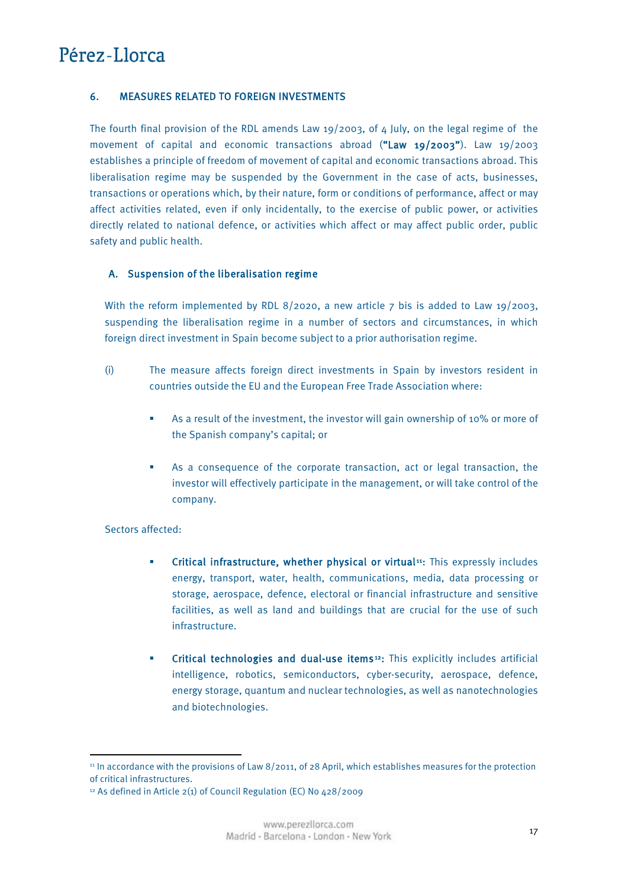#### <span id="page-16-0"></span>6. MEASURES RELATED TO FOREIGN INVESTMENTS

The fourth final provision of the RDL amends Law 19/2003, of 4 July, on the legal regime of the movement of capital and economic transactions abroad  $("Law 19/2003")$ . Law 19/2003 establishes a principle of freedom of movement of capital and economic transactions abroad. This liberalisation regime may be suspended by the Government in the case of acts, businesses, transactions or operations which, by their nature, form or conditions of performance, affect or may affect activities related, even if only incidentally, to the exercise of public power, or activities directly related to national defence, or activities which affect or may affect public order, public safety and public health.

#### A. Suspension of the liberalisation regime

With the reform implemented by RDL 8/2020, a new article  $7$  bis is added to Law 19/2003, suspending the liberalisation regime in a number of sectors and circumstances, in which foreign direct investment in Spain become subject to a prior authorisation regime.

- (i) The measure affects foreign direct investments in Spain by investors resident in countries outside the EU and the European Free Trade Association where:
	- As a result of the investment, the investor will gain ownership of 10% or more of the Spanish company's capital; or
	- As a consequence of the corporate transaction, act or legal transaction, the investor will effectively participate in the management, or will take control of the company.

#### Sectors affected:

 $\overline{\phantom{a}}$ 

- Critical infrastructure, whether physical or virtual<sup>[11](#page-16-1)</sup>: This expressly includes energy, transport, water, health, communications, media, data processing or storage, aerospace, defence, electoral or financial infrastructure and sensitive facilities, as well as land and buildings that are crucial for the use of such infrastructure.
- **•** Critical technologies and dual-use items<sup>12</sup>: This explicitly includes artificial intelligence, robotics, semiconductors, cyber-security, aerospace, defence, energy storage, quantum and nuclear technologies, as well as nanotechnologies and biotechnologies.

<sup>11</sup> In accordance with the provisions of Law 8/2011, of 28 April, which establishes measures for the protection of critical infrastructures.

<span id="page-16-1"></span><sup>12</sup> As defined in Article 2(1) of Council Regulation (EC) No 428/2009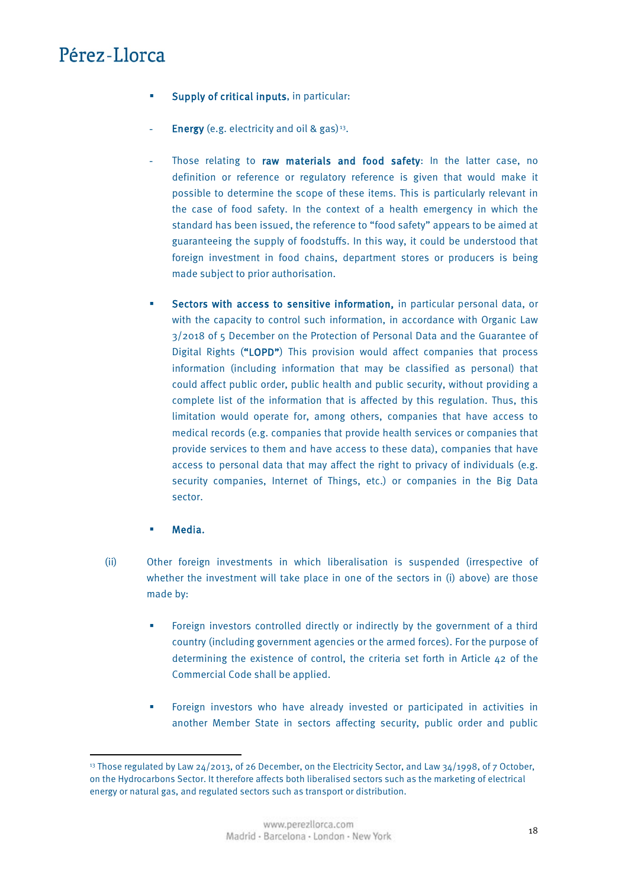- Supply of critical inputs, in particular:
- **Energy** (e.g. electricity and oil & gas)<sup>13</sup>.
- Those relating to raw materials and food safety: In the latter case, no definition or reference or regulatory reference is given that would make it possible to determine the scope of these items. This is particularly relevant in the case of food safety. In the context of a health emergency in which the standard has been issued, the reference to "food safety" appears to be aimed at guaranteeing the supply of foodstuffs. In this way, it could be understood that foreign investment in food chains, department stores or producers is being made subject to prior authorisation.
- Sectors with access to sensitive information, in particular personal data, or with the capacity to control such information, in accordance with Organic Law 3/2018 of 5 December on the Protection of Personal Data and the Guarantee of Digital Rights ("LOPD") This provision would affect companies that process information (including information that may be classified as personal) that could affect public order, public health and public security, without providing a complete list of the information that is affected by this regulation. Thus, this limitation would operate for, among others, companies that have access to medical records (e.g. companies that provide health services or companies that provide services to them and have access to these data), companies that have access to personal data that may affect the right to privacy of individuals (e.g. security companies, Internet of Things, etc.) or companies in the Big Data sector.
- Media.

<span id="page-17-0"></span> $\overline{\phantom{a}}$ 

- (ii) Other foreign investments in which liberalisation is suspended (irrespective of whether the investment will take place in one of the sectors in (i) above) are those made by:
	- Foreign investors controlled directly or indirectly by the government of a third country (including government agencies or the armed forces). For the purpose of determining the existence of control, the criteria set forth in Article 42 of the Commercial Code shall be applied.
	- Foreign investors who have already invested or participated in activities in another Member State in sectors affecting security, public order and public

<span id="page-17-1"></span><sup>&</sup>lt;sup>13</sup> Those regulated by Law 24/2013, of 26 December, on the Electricity Sector, and Law 34/1998, of 7 October, on the Hydrocarbons Sector. It therefore affects both liberalised sectors such as the marketing of electrical energy or natural gas, and regulated sectors such as transport or distribution.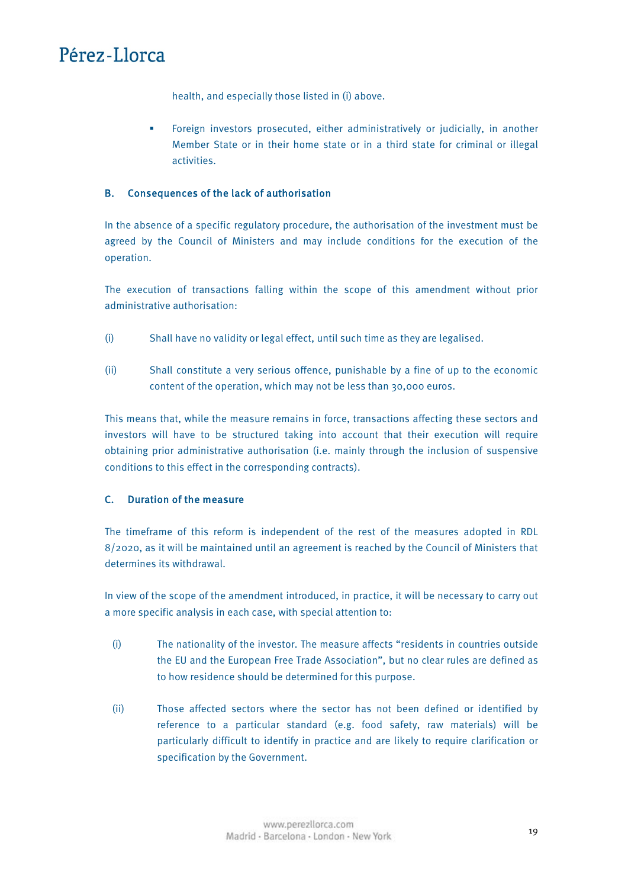health, and especially those listed in (i) above.

 Foreign investors prosecuted, either administratively or judicially, in another Member State or in their home state or in a third state for criminal or illegal activities.

### B. Consequences of the lack of authorisation

In the absence of a specific regulatory procedure, the authorisation of the investment must be agreed by the Council of Ministers and may include conditions for the execution of the operation.

The execution of transactions falling within the scope of this amendment without prior administrative authorisation:

- (i) Shall have no validity or legal effect, until such time as they are legalised.
- (ii) Shall constitute a very serious offence, punishable by a fine of up to the economic content of the operation, which may not be less than 30,000 euros.

This means that, while the measure remains in force, transactions affecting these sectors and investors will have to be structured taking into account that their execution will require obtaining prior administrative authorisation (i.e. mainly through the inclusion of suspensive conditions to this effect in the corresponding contracts).

### C. Duration of the measure

The timeframe of this reform is independent of the rest of the measures adopted in RDL 8/2020, as it will be maintained until an agreement is reached by the Council of Ministers that determines its withdrawal.

In view of the scope of the amendment introduced, in practice, it will be necessary to carry out a more specific analysis in each case, with special attention to:

- (i) The nationality of the investor. The measure affects "residents in countries outside the EU and the European Free Trade Association", but no clear rules are defined as to how residence should be determined for this purpose.
- (ii) Those affected sectors where the sector has not been defined or identified by reference to a particular standard (e.g. food safety, raw materials) will be particularly difficult to identify in practice and are likely to require clarification or specification by the Government.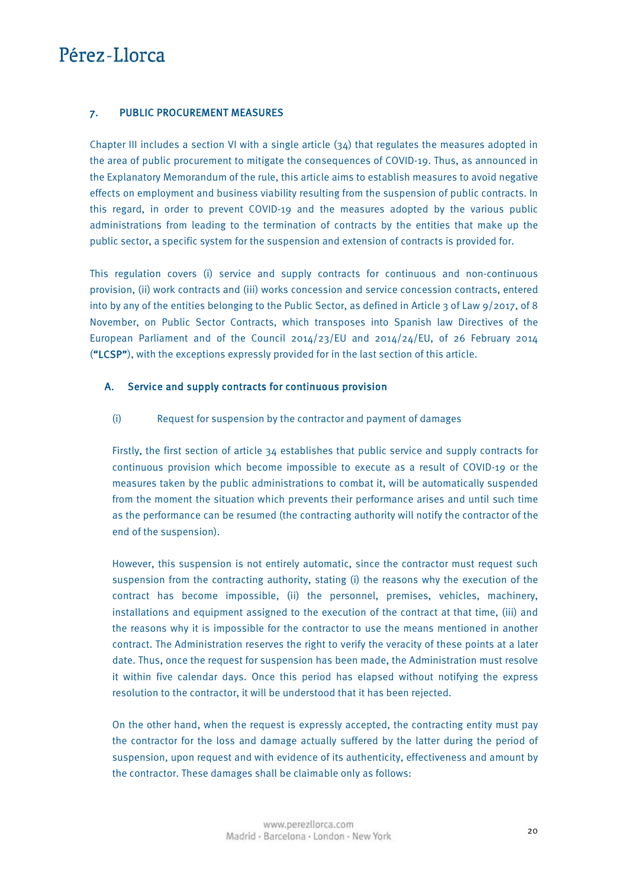#### <span id="page-19-0"></span>7. PUBLIC PROCUREMENT MEASURES

Chapter III includes a section VI with a single article  $(34)$  that regulates the measures adopted in the area of public procurement to mitigate the consequences of COVID-19. Thus, as announced in the Explanatory Memorandum of the rule, this article aims to establish measures to avoid negative effects on employment and business viability resulting from the suspension of public contracts. In this regard, in order to prevent COVID-19 and the measures adopted by the various public administrations from leading to the termination of contracts by the entities that make up the public sector, a specific system for the suspension and extension of contracts is provided for.

This regulation covers (i) service and supply contracts for continuous and non-continuous provision, (ii) work contracts and (iii) works concession and service concession contracts, entered into by any of the entities belonging to the Public Sector, as defined in Article 3 of Law 9/2017, of 8 November, on Public Sector Contracts, which transposes into Spanish law Directives of the European Parliament and of the Council  $2014/23/EU$  and  $2014/24/EU$ , of 26 February 2014 ("LCSP"), with the exceptions expressly provided for in the last section of this article.

#### A. Service and supply contracts for continuous provision

#### (i) Request for suspension by the contractor and payment of damages

Firstly, the first section of article 34 establishes that public service and supply contracts for continuous provision which become impossible to execute as a result of COVID-19 or the measures taken by the public administrations to combat it, will be automatically suspended from the moment the situation which prevents their performance arises and until such time as the performance can be resumed (the contracting authority will notify the contractor of the end of the suspension).

However, this suspension is not entirely automatic, since the contractor must request such suspension from the contracting authority, stating (i) the reasons why the execution of the contract has become impossible, (ii) the personnel, premises, vehicles, machinery, installations and equipment assigned to the execution of the contract at that time, (iii) and the reasons why it is impossible for the contractor to use the means mentioned in another contract. The Administration reserves the right to verify the veracity of these points at a later date. Thus, once the request for suspension has been made, the Administration must resolve it within five calendar days. Once this period has elapsed without notifying the express resolution to the contractor, it will be understood that it has been rejected.

On the other hand, when the request is expressly accepted, the contracting entity must pay the contractor for the loss and damage actually suffered by the latter during the period of suspension, upon request and with evidence of its authenticity, effectiveness and amount by the contractor. These damages shall be claimable only as follows: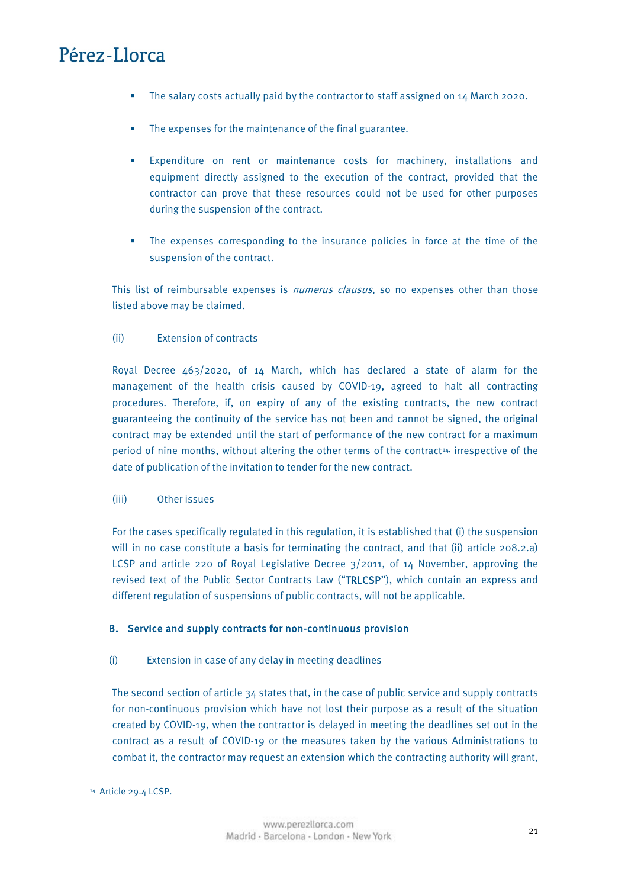- The salary costs actually paid by the contractor to staff assigned on 14 March 2020.
- The expenses for the maintenance of the final guarantee.
- Expenditure on rent or maintenance costs for machinery, installations and equipment directly assigned to the execution of the contract, provided that the contractor can prove that these resources could not be used for other purposes during the suspension of the contract.
- The expenses corresponding to the insurance policies in force at the time of the suspension of the contract.

This list of reimbursable expenses is *numerus clausus*, so no expenses other than those listed above may be claimed.

#### (ii) Extension of contracts

Royal Decree 463/2020, of 14 March, which has declared a state of alarm for the management of the health crisis caused by COVID-19, agreed to halt all contracting procedures. Therefore, if, on expiry of any of the existing contracts, the new contract guaranteeing the continuity of the service has not been and cannot be signed, the original contract may be extended until the start of performance of the new contract for a maximum period of nine months, without altering the other terms of the contract<sup>[14,](#page-20-0)</sup> irrespective of the date of publication of the invitation to tender for the new contract.

#### (iii) Other issues

For the cases specifically regulated in this regulation, it is established that (i) the suspension will in no case constitute a basis for terminating the contract, and that (ii) article 208.2.a) LCSP and article 220 of Royal Legislative Decree 3/2011, of 14 November, approving the revised text of the Public Sector Contracts Law ("TRLCSP"), which contain an express and different regulation of suspensions of public contracts, will not be applicable.

#### B. Service and supply contracts for non-continuous provision

#### (i) Extension in case of any delay in meeting deadlines

The second section of article 34 states that, in the case of public service and supply contracts for non-continuous provision which have not lost their purpose as a result of the situation created by COVID-19, when the contractor is delayed in meeting the deadlines set out in the contract as a result of COVID-19 or the measures taken by the various Administrations to combat it, the contractor may request an extension which the contracting authority will grant,

<u>.</u>

<span id="page-20-0"></span><sup>14</sup> Article 29.4 LCSP.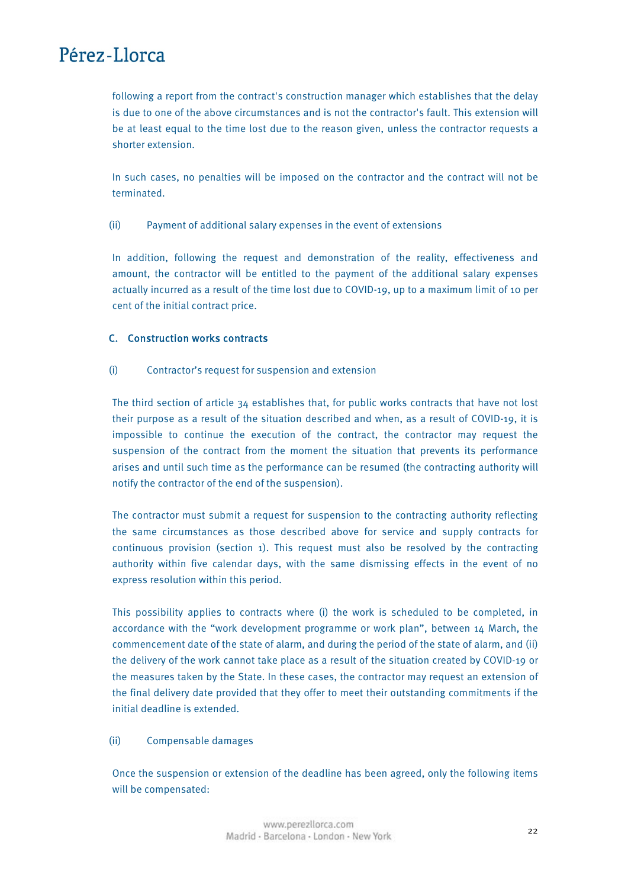following a report from the contract's construction manager which establishes that the delay is due to one of the above circumstances and is not the contractor's fault. This extension will be at least equal to the time lost due to the reason given, unless the contractor requests a shorter extension.

In such cases, no penalties will be imposed on the contractor and the contract will not be terminated.

#### (ii) Payment of additional salary expenses in the event of extensions

In addition, following the request and demonstration of the reality, effectiveness and amount, the contractor will be entitled to the payment of the additional salary expenses actually incurred as a result of the time lost due to COVID-19, up to a maximum limit of 10 per cent of the initial contract price.

#### C. Construction works contracts

#### (i) Contractor's request for suspension and extension

The third section of article  $34$  establishes that, for public works contracts that have not lost their purpose as a result of the situation described and when, as a result of COVID-19, it is impossible to continue the execution of the contract, the contractor may request the suspension of the contract from the moment the situation that prevents its performance arises and until such time as the performance can be resumed (the contracting authority will notify the contractor of the end of the suspension).

The contractor must submit a request for suspension to the contracting authority reflecting the same circumstances as those described above for service and supply contracts for continuous provision (section 1). This request must also be resolved by the contracting authority within five calendar days, with the same dismissing effects in the event of no express resolution within this period.

This possibility applies to contracts where (i) the work is scheduled to be completed, in accordance with the "work development programme or work plan", between 14 March, the commencement date of the state of alarm, and during the period of the state of alarm, and (ii) the delivery of the work cannot take place as a result of the situation created by COVID-19 or the measures taken by the State. In these cases, the contractor may request an extension of the final delivery date provided that they offer to meet their outstanding commitments if the initial deadline is extended.

#### (ii) Compensable damages

Once the suspension or extension of the deadline has been agreed, only the following items will be compensated: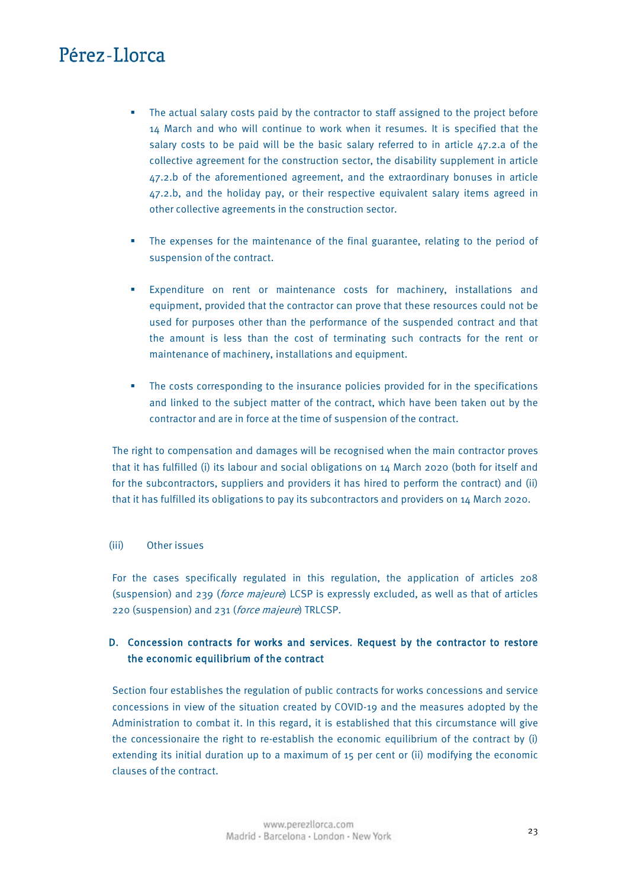- The actual salary costs paid by the contractor to staff assigned to the project before 14 March and who will continue to work when it resumes. It is specified that the salary costs to be paid will be the basic salary referred to in article 47.2.a of the collective agreement for the construction sector, the disability supplement in article 47.2.b of the aforementioned agreement, and the extraordinary bonuses in article 47.2.b, and the holiday pay, or their respective equivalent salary items agreed in other collective agreements in the construction sector.
- The expenses for the maintenance of the final guarantee, relating to the period of suspension of the contract.
- Expenditure on rent or maintenance costs for machinery, installations and equipment, provided that the contractor can prove that these resources could not be used for purposes other than the performance of the suspended contract and that the amount is less than the cost of terminating such contracts for the rent or maintenance of machinery, installations and equipment.
- The costs corresponding to the insurance policies provided for in the specifications and linked to the subject matter of the contract, which have been taken out by the contractor and are in force at the time of suspension of the contract.

The right to compensation and damages will be recognised when the main contractor proves that it has fulfilled (i) its labour and social obligations on 14 March 2020 (both for itself and for the subcontractors, suppliers and providers it has hired to perform the contract) and (ii) that it has fulfilled its obligations to pay its subcontractors and providers on 14 March 2020.

#### (iii) Other issues

For the cases specifically regulated in this regulation, the application of articles 208 (suspension) and 239 (force majeure) LCSP is expressly excluded, as well as that of articles 220 (suspension) and 231 (force majeure) TRLCSP.

### D. Concession contracts for works and services. Request by the contractor to restore the economic equilibrium of the contract

Section four establishes the regulation of public contracts for works concessions and service concessions in view of the situation created by COVID-19 and the measures adopted by the Administration to combat it. In this regard, it is established that this circumstance will give the concessionaire the right to re-establish the economic equilibrium of the contract by (i) extending its initial duration up to a maximum of 15 per cent or (ii) modifying the economic clauses of the contract.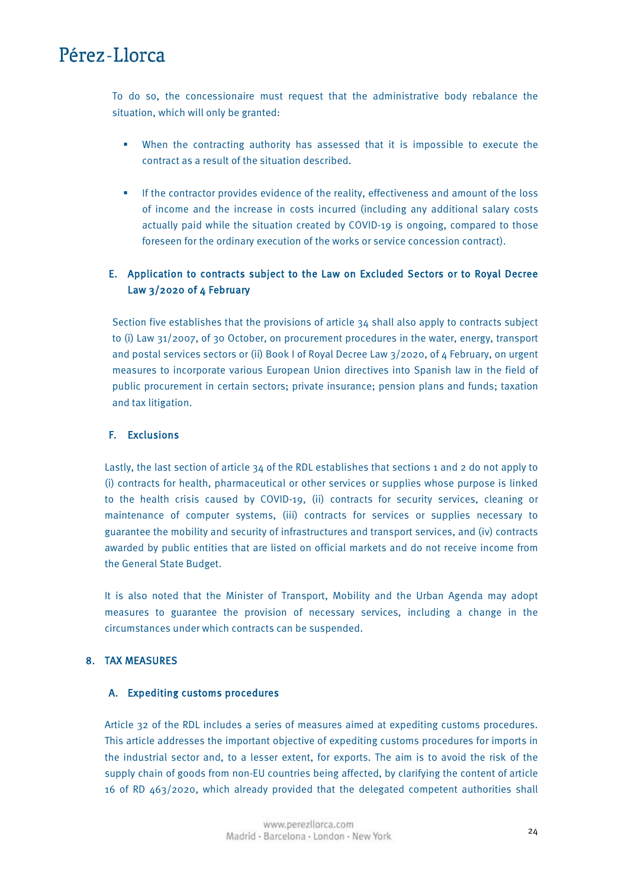<span id="page-23-0"></span>To do so, the concessionaire must request that the administrative body rebalance the situation, which will only be granted:

- When the contracting authority has assessed that it is impossible to execute the contract as a result of the situation described.
- **If the contractor provides evidence of the reality, effectiveness and amount of the loss** of income and the increase in costs incurred (including any additional salary costs actually paid while the situation created by COVID-19 is ongoing, compared to those foreseen for the ordinary execution of the works or service concession contract).

### E. Application to contracts subject to the Law on Excluded Sectors or to Royal Decree Law 3/2020 of 4 February

Section five establishes that the provisions of article 34 shall also apply to contracts subject to (i) Law 31/2007, of 30 October, on procurement procedures in the water, energy, transport and postal services sectors or (ii) Book I of Royal Decree Law 3/2020, of 4 February, on urgent measures to incorporate various European Union directives into Spanish law in the field of public procurement in certain sectors; private insurance; pension plans and funds; taxation and tax litigation.

#### F. Exclusions

Lastly, the last section of article 34 of the RDL establishes that sections 1 and 2 do not apply to (i) contracts for health, pharmaceutical or other services or supplies whose purpose is linked to the health crisis caused by COVID-19, (ii) contracts for security services, cleaning or maintenance of computer systems, (iii) contracts for services or supplies necessary to guarantee the mobility and security of infrastructures and transport services, and (iv) contracts awarded by public entities that are listed on official markets and do not receive income from the General State Budget.

It is also noted that the Minister of Transport, Mobility and the Urban Agenda may adopt measures to guarantee the provision of necessary services, including a change in the circumstances under which contracts can be suspended.

#### 8. TAX MEASURES

#### A. Expediting customs procedures

Article 32 of the RDL includes a series of measures aimed at expediting customs procedures. This article addresses the important objective of expediting customs procedures for imports in the industrial sector and, to a lesser extent, for exports. The aim is to avoid the risk of the supply chain of goods from non-EU countries being affected, by clarifying the content of article 16 of RD 463/2020, which already provided that the delegated competent authorities shall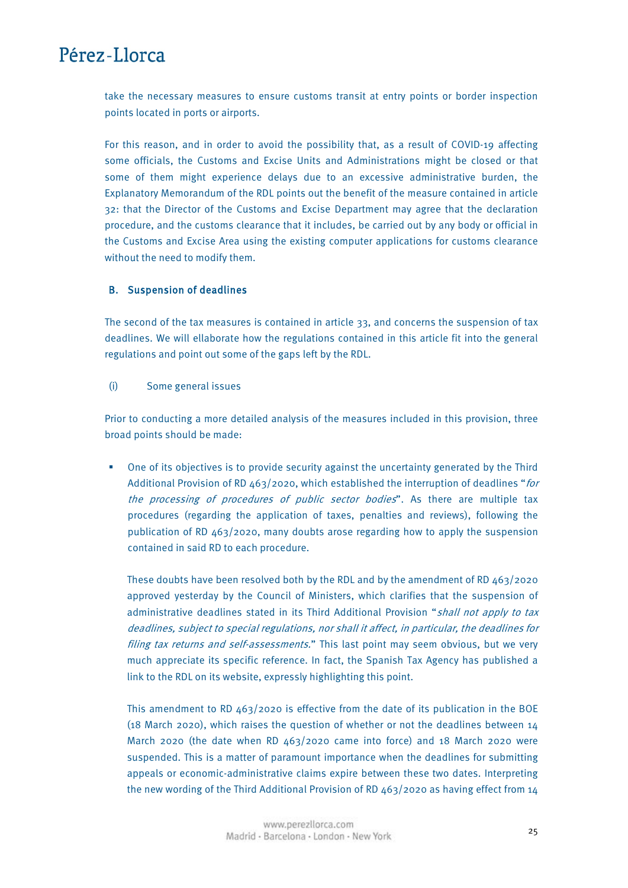take the necessary measures to ensure customs transit at entry points or border inspection points located in ports or airports.

For this reason, and in order to avoid the possibility that, as a result of COVID-19 affecting some officials, the Customs and Excise Units and Administrations might be closed or that some of them might experience delays due to an excessive administrative burden, the Explanatory Memorandum of the RDL points out the benefit of the measure contained in article 32: that the Director of the Customs and Excise Department may agree that the declaration procedure, and the customs clearance that it includes, be carried out by any body or official in the Customs and Excise Area using the existing computer applications for customs clearance without the need to modify them.

#### B. Suspension of deadlines

The second of the tax measures is contained in article 33, and concerns the suspension of tax deadlines. We will ellaborate how the regulations contained in this article fit into the general regulations and point out some of the gaps left by the RDL.

(i) Some general issues

Prior to conducting a more detailed analysis of the measures included in this provision, three broad points should be made:

 One of its objectives is to provide security against the uncertainty generated by the Third Additional Provision of RD 463/2020, which established the interruption of deadlines "for the processing of procedures of public sector bodies". As there are multiple tax procedures (regarding the application of taxes, penalties and reviews), following the publication of RD 463/2020, many doubts arose regarding how to apply the suspension contained in said RD to each procedure.

These doubts have been resolved both by the RDL and by the amendment of RD 463/2020 approved yesterday by the Council of Ministers, which clarifies that the suspension of administrative deadlines stated in its Third Additional Provision "shall not apply to tax deadlines, subject to special regulations, nor shall it affect, in particular, the deadlines for filing tax returns and self-assessments." This last point may seem obvious, but we very much appreciate its specific reference. In fact, the Spanish Tax Agency has published a link to the RDL on its website, expressly highlighting this point.

This amendment to RD 463/2020 is effective from the date of its publication in the BOE (18 March 2020), which raises the question of whether or not the deadlines between 14 March 2020 (the date when RD 463/2020 came into force) and 18 March 2020 were suspended. This is a matter of paramount importance when the deadlines for submitting appeals or economic-administrative claims expire between these two dates. Interpreting the new wording of the Third Additional Provision of RD 463/2020 as having effect from 14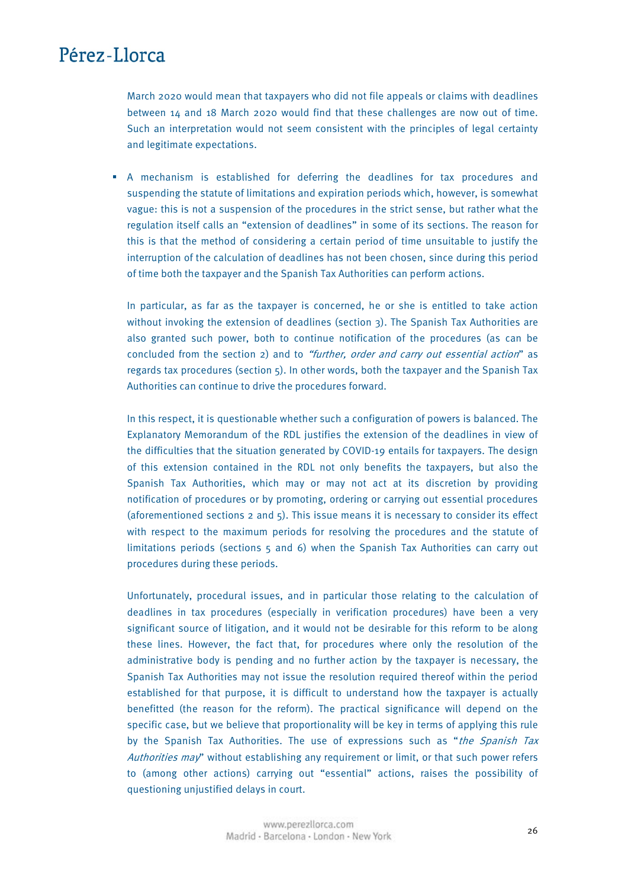March 2020 would mean that taxpayers who did not file appeals or claims with deadlines between 14 and 18 March 2020 would find that these challenges are now out of time. Such an interpretation would not seem consistent with the principles of legal certainty and legitimate expectations.

 A mechanism is established for deferring the deadlines for tax procedures and suspending the statute of limitations and expiration periods which, however, is somewhat vague: this is not a suspension of the procedures in the strict sense, but rather what the regulation itself calls an "extension of deadlines" in some of its sections. The reason for this is that the method of considering a certain period of time unsuitable to justify the interruption of the calculation of deadlines has not been chosen, since during this period of time both the taxpayer and the Spanish Tax Authorities can perform actions.

In particular, as far as the taxpayer is concerned, he or she is entitled to take action without invoking the extension of deadlines (section 3). The Spanish Tax Authorities are also granted such power, both to continue notification of the procedures (as can be concluded from the section 2) and to "further, order and carry out essential action" as regards tax procedures (section 5). In other words, both the taxpayer and the Spanish Tax Authorities can continue to drive the procedures forward.

In this respect, it is questionable whether such a configuration of powers is balanced. The Explanatory Memorandum of the RDL justifies the extension of the deadlines in view of the difficulties that the situation generated by COVID-19 entails for taxpayers. The design of this extension contained in the RDL not only benefits the taxpayers, but also the Spanish Tax Authorities, which may or may not act at its discretion by providing notification of procedures or by promoting, ordering or carrying out essential procedures (aforementioned sections 2 and 5). This issue means it is necessary to consider its effect with respect to the maximum periods for resolving the procedures and the statute of limitations periods (sections 5 and 6) when the Spanish Tax Authorities can carry out procedures during these periods.

Unfortunately, procedural issues, and in particular those relating to the calculation of deadlines in tax procedures (especially in verification procedures) have been a very significant source of litigation, and it would not be desirable for this reform to be along these lines. However, the fact that, for procedures where only the resolution of the administrative body is pending and no further action by the taxpayer is necessary, the Spanish Tax Authorities may not issue the resolution required thereof within the period established for that purpose, it is difficult to understand how the taxpayer is actually benefitted (the reason for the reform). The practical significance will depend on the specific case, but we believe that proportionality will be key in terms of applying this rule by the Spanish Tax Authorities. The use of expressions such as "the Spanish Tax Authorities may" without establishing any requirement or limit, or that such power refers to (among other actions) carrying out "essential" actions, raises the possibility of questioning unjustified delays in court.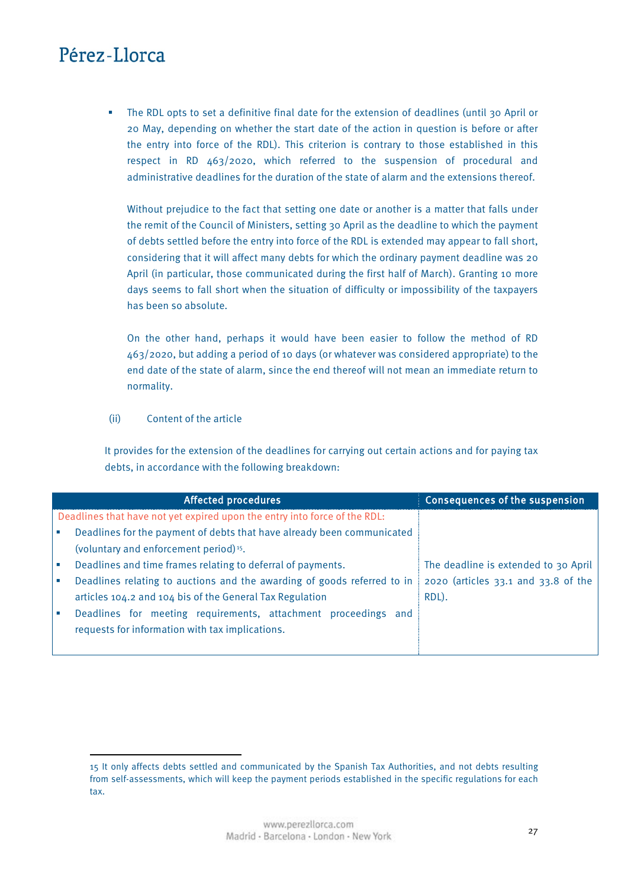The RDL opts to set a definitive final date for the extension of deadlines (until 30 April or 20 May, depending on whether the start date of the action in question is before or after the entry into force of the RDL). This criterion is contrary to those established in this respect in RD 463/2020, which referred to the suspension of procedural and administrative deadlines for the duration of the state of alarm and the extensions thereof.

Without prejudice to the fact that setting one date or another is a matter that falls under the remit of the Council of Ministers, setting 30 April as the deadline to which the payment of debts settled before the entry into force of the RDL is extended may appear to fall short, considering that it will affect many debts for which the ordinary payment deadline was 20 April (in particular, those communicated during the first half of March). Granting 10 more days seems to fall short when the situation of difficulty or impossibility of the taxpayers has been so absolute.

On the other hand, perhaps it would have been easier to follow the method of RD 463/2020, but adding a period of 10 days (or whatever was considered appropriate) to the end date of the state of alarm, since the end thereof will not mean an immediate return to normality.

#### (ii) Content of the article

 $\overline{\phantom{a}}$ 

It provides for the extension of the deadlines for carrying out certain actions and for paying tax debts, in accordance with the following breakdown:

|   | <b>Affected procedures</b>                                                | <b>Consequences of the suspension</b> |
|---|---------------------------------------------------------------------------|---------------------------------------|
|   | Deadlines that have not yet expired upon the entry into force of the RDL: |                                       |
|   | Deadlines for the payment of debts that have already been communicated    |                                       |
|   | (voluntary and enforcement period) <sup>15</sup> .                        |                                       |
| ш | Deadlines and time frames relating to deferral of payments.               | The deadline is extended to 30 April  |
| ш | Deadlines relating to auctions and the awarding of goods referred to in   | 2020 (articles 33.1 and 33.8 of the   |
|   | articles 104.2 and 104 bis of the General Tax Regulation                  | RDL).                                 |
| ш | Deadlines for meeting requirements, attachment proceedings and            |                                       |
|   | requests for information with tax implications.                           |                                       |
|   |                                                                           |                                       |

<sup>15</sup> It only affects debts settled and communicated by the Spanish Tax Authorities, and not debts resulting from self-assessments, which will keep the payment periods established in the specific regulations for each tax.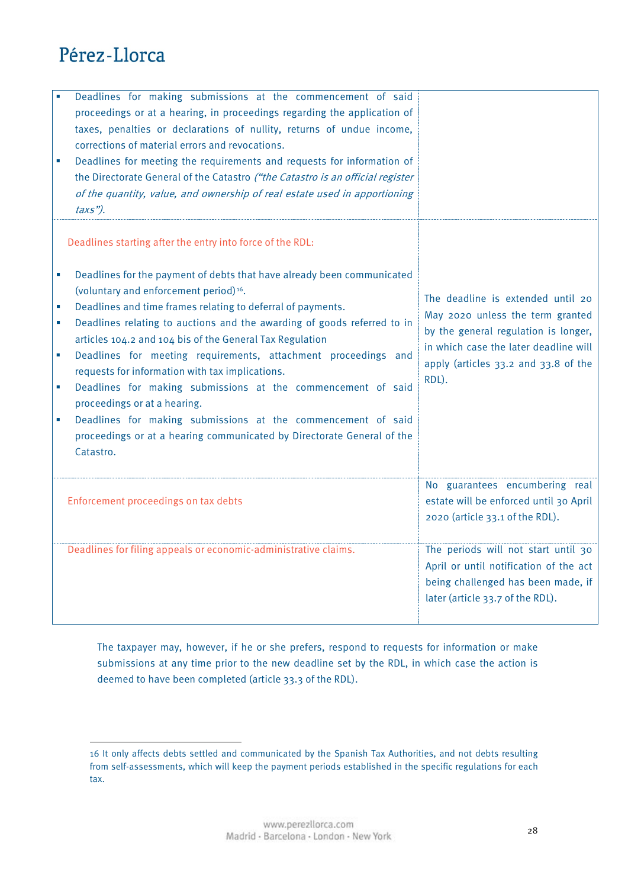<span id="page-27-0"></span> $\overline{\phantom{a}}$ 

|                     | Deadlines for making submissions at the commencement of said<br>proceedings or at a hearing, in proceedings regarding the application of<br>taxes, penalties or declarations of nullity, returns of undue income,<br>corrections of material errors and revocations.<br>Deadlines for meeting the requirements and requests for information of<br>the Directorate General of the Catastro ("the Catastro is an official register<br>of the quantity, value, and ownership of real estate used in apportioning<br>$\textit{taxs}$ ").                                                                                                                                                                                                                                        |                                                                                                                                                                                                         |
|---------------------|-----------------------------------------------------------------------------------------------------------------------------------------------------------------------------------------------------------------------------------------------------------------------------------------------------------------------------------------------------------------------------------------------------------------------------------------------------------------------------------------------------------------------------------------------------------------------------------------------------------------------------------------------------------------------------------------------------------------------------------------------------------------------------|---------------------------------------------------------------------------------------------------------------------------------------------------------------------------------------------------------|
| Ù,<br>u,<br>u,<br>× | Deadlines starting after the entry into force of the RDL:<br>Deadlines for the payment of debts that have already been communicated<br>(voluntary and enforcement period) <sup>16</sup> .<br>Deadlines and time frames relating to deferral of payments.<br>Deadlines relating to auctions and the awarding of goods referred to in<br>articles 104.2 and 104 bis of the General Tax Regulation<br>Deadlines for meeting requirements, attachment proceedings and<br>requests for information with tax implications.<br>Deadlines for making submissions at the commencement of said<br>proceedings or at a hearing.<br>Deadlines for making submissions at the commencement of said<br>proceedings or at a hearing communicated by Directorate General of the<br>Catastro. | The deadline is extended until 20<br>May 2020 unless the term granted<br>by the general regulation is longer,<br>in which case the later deadline will<br>apply (articles 33.2 and 33.8 of the<br>RDL). |
|                     | Enforcement proceedings on tax debts                                                                                                                                                                                                                                                                                                                                                                                                                                                                                                                                                                                                                                                                                                                                        | No guarantees encumbering real<br>estate will be enforced until 30 April<br>2020 (article 33.1 of the RDL).                                                                                             |
|                     | Deadlines for filing appeals or economic-administrative claims.                                                                                                                                                                                                                                                                                                                                                                                                                                                                                                                                                                                                                                                                                                             | The periods will not start until 30<br>April or until notification of the act<br>being challenged has been made, if<br>later (article 33.7 of the RDL).                                                 |

The taxpayer may, however, if he or she prefers, respond to requests for information or make submissions at any time prior to the new deadline set by the RDL, in which case the action is deemed to have been completed (article 33.3 of the RDL).

<span id="page-27-1"></span><sup>16</sup> It only affects debts settled and communicated by the Spanish Tax Authorities, and not debts resulting from self-assessments, which will keep the payment periods established in the specific regulations for each tax.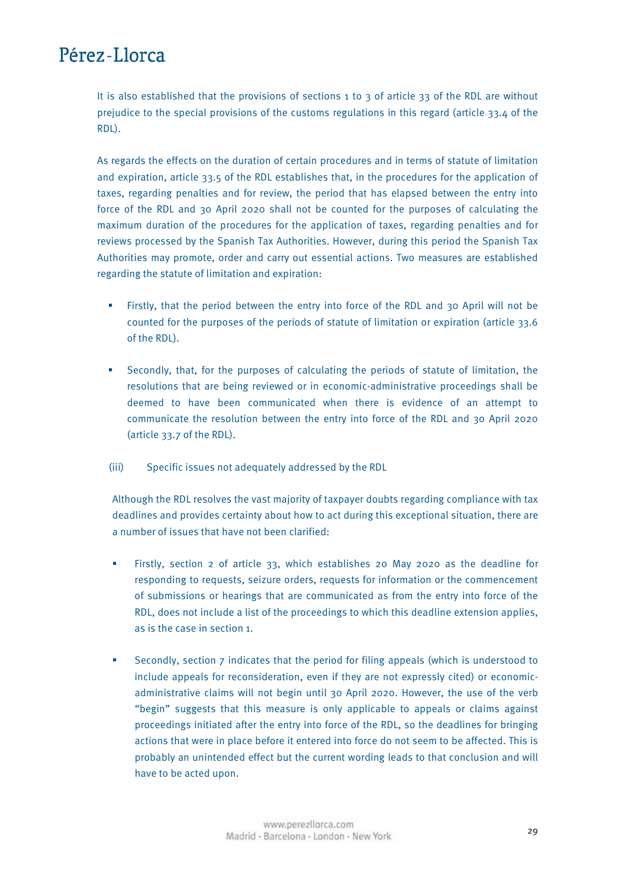It is also established that the provisions of sections 1 to 3 of article 33 of the RDL are without prejudice to the special provisions of the customs regulations in this regard (article 33.4 of the RDL).

As regards the effects on the duration of certain procedures and in terms of statute of limitation and expiration, article 33.5 of the RDL establishes that, in the procedures for the application of taxes, regarding penalties and for review, the period that has elapsed between the entry into force of the RDL and 30 April 2020 shall not be counted for the purposes of calculating the maximum duration of the procedures for the application of taxes, regarding penalties and for reviews processed by the Spanish Tax Authorities. However, during this period the Spanish Tax Authorities may promote, order and carry out essential actions. Two measures are established regarding the statute of limitation and expiration:

- Firstly, that the period between the entry into force of the RDL and 30 April will not be counted for the purposes of the periods of statute of limitation or expiration (article 33.6 of the RDL).
- Secondly, that, for the purposes of calculating the periods of statute of limitation, the resolutions that are being reviewed or in economic-administrative proceedings shall be deemed to have been communicated when there is evidence of an attempt to communicate the resolution between the entry into force of the RDL and 30 April 2020 (article 33.7 of the RDL).
- (iii) Specific issues not adequately addressed by the RDL

Although the RDL resolves the vast majority of taxpayer doubts regarding compliance with tax deadlines and provides certainty about how to act during this exceptional situation, there are a number of issues that have not been clarified:

- Firstly, section 2 of article 33, which establishes 20 May 2020 as the deadline for responding to requests, seizure orders, requests for information or the commencement of submissions or hearings that are communicated as from the entry into force of the RDL, does not include a list of the proceedings to which this deadline extension applies, as is the case in section 1.
- Secondly, section 7 indicates that the period for filing appeals (which is understood to include appeals for reconsideration, even if they are not expressly cited) or economicadministrative claims will not begin until 30 April 2020. However, the use of the verb "begin" suggests that this measure is only applicable to appeals or claims against proceedings initiated after the entry into force of the RDL, so the deadlines for bringing actions that were in place before it entered into force do not seem to be affected. This is probably an unintended effect but the current wording leads to that conclusion and will have to be acted upon.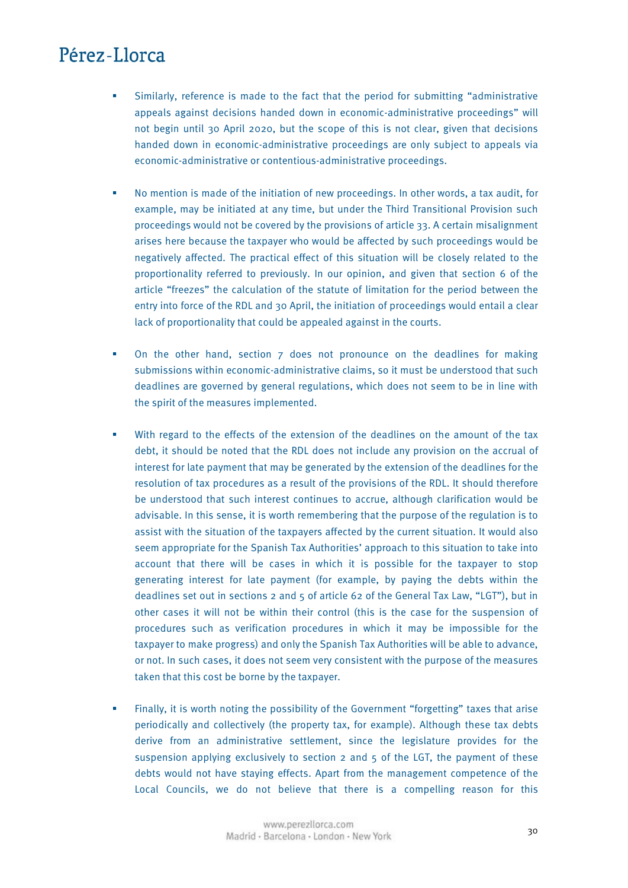- Similarly, reference is made to the fact that the period for submitting "administrative appeals against decisions handed down in economic-administrative proceedings" will not begin until 30 April 2020, but the scope of this is not clear, given that decisions handed down in economic-administrative proceedings are only subject to appeals via economic-administrative or contentious-administrative proceedings.
- No mention is made of the initiation of new proceedings. In other words, a tax audit, for example, may be initiated at any time, but under the Third Transitional Provision such proceedings would not be covered by the provisions of article 33. A certain misalignment arises here because the taxpayer who would be affected by such proceedings would be negatively affected. The practical effect of this situation will be closely related to the proportionality referred to previously. In our opinion, and given that section 6 of the article "freezes" the calculation of the statute of limitation for the period between the entry into force of the RDL and 30 April, the initiation of proceedings would entail a clear lack of proportionality that could be appealed against in the courts.
- On the other hand, section 7 does not pronounce on the deadlines for making submissions within economic-administrative claims, so it must be understood that such deadlines are governed by general regulations, which does not seem to be in line with the spirit of the measures implemented.
- With regard to the effects of the extension of the deadlines on the amount of the tax debt, it should be noted that the RDL does not include any provision on the accrual of interest for late payment that may be generated by the extension of the deadlines for the resolution of tax procedures as a result of the provisions of the RDL. It should therefore be understood that such interest continues to accrue, although clarification would be advisable. In this sense, it is worth remembering that the purpose of the regulation is to assist with the situation of the taxpayers affected by the current situation. It would also seem appropriate for the Spanish Tax Authorities' approach to this situation to take into account that there will be cases in which it is possible for the taxpayer to stop generating interest for late payment (for example, by paying the debts within the deadlines set out in sections 2 and 5 of article 62 of the General Tax Law, "LGT"), but in other cases it will not be within their control (this is the case for the suspension of procedures such as verification procedures in which it may be impossible for the taxpayer to make progress) and only the Spanish Tax Authorities will be able to advance, or not. In such cases, it does not seem very consistent with the purpose of the measures taken that this cost be borne by the taxpayer.
- Finally, it is worth noting the possibility of the Government "forgetting" taxes that arise periodically and collectively (the property tax, for example). Although these tax debts derive from an administrative settlement, since the legislature provides for the suspension applying exclusively to section 2 and 5 of the LGT, the payment of these debts would not have staying effects. Apart from the management competence of the Local Councils, we do not believe that there is a compelling reason for this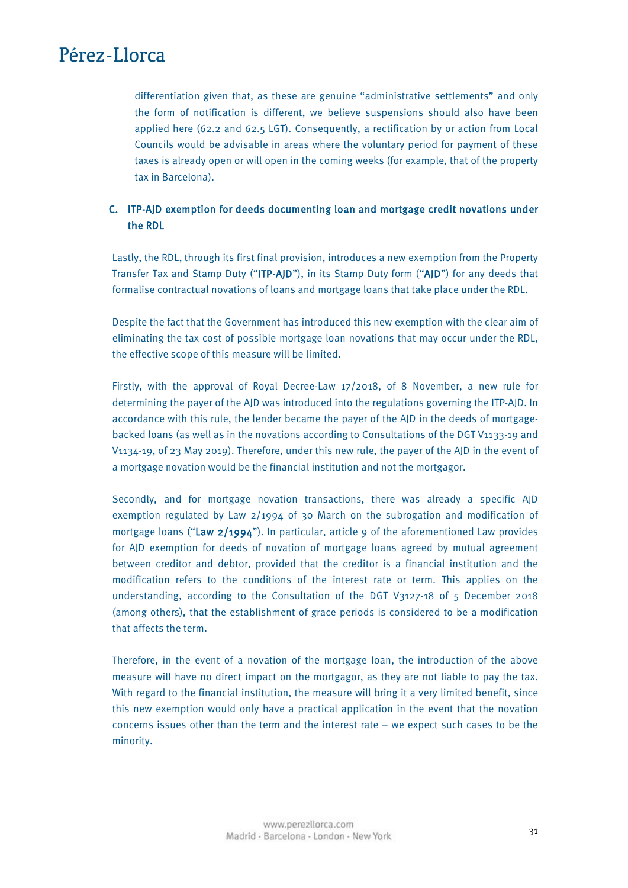differentiation given that, as these are genuine "administrative settlements" and only the form of notification is different, we believe suspensions should also have been applied here (62.2 and 62.5 LGT). Consequently, a rectification by or action from Local Councils would be advisable in areas where the voluntary period for payment of these taxes is already open or will open in the coming weeks (for example, that of the property tax in Barcelona).

### C. ITP-AJD exemption for deeds documenting loan and mortgage credit novations under the RDL

Lastly, the RDL, through its first final provision, introduces a new exemption from the Property Transfer Tax and Stamp Duty ("ITP-AJD"), in its Stamp Duty form ("AJD") for any deeds that formalise contractual novations of loans and mortgage loans that take place under the RDL.

Despite the fact that the Government has introduced this new exemption with the clear aim of eliminating the tax cost of possible mortgage loan novations that may occur under the RDL, the effective scope of this measure will be limited.

Firstly, with the approval of Royal Decree-Law 17/2018, of 8 November, a new rule for determining the payer of the AJD was introduced into the regulations governing the ITP-AJD. In accordance with this rule, the lender became the payer of the AJD in the deeds of mortgagebacked loans (as well as in the novations according to Consultations of the DGT V1133-19 and V1134-19, of 23 May 2019). Therefore, under this new rule, the payer of the AJD in the event of a mortgage novation would be the financial institution and not the mortgagor.

Secondly, and for mortgage novation transactions, there was already a specific AJD exemption regulated by Law 2/1994 of 30 March on the subrogation and modification of mortgage loans ("Law  $2/1994$ "). In particular, article 9 of the aforementioned Law provides for AJD exemption for deeds of novation of mortgage loans agreed by mutual agreement between creditor and debtor, provided that the creditor is a financial institution and the modification refers to the conditions of the interest rate or term. This applies on the understanding, according to the Consultation of the DGT V3127-18 of 5 December 2018 (among others), that the establishment of grace periods is considered to be a modification that affects the term.

Therefore, in the event of a novation of the mortgage loan, the introduction of the above measure will have no direct impact on the mortgagor, as they are not liable to pay the tax. With regard to the financial institution, the measure will bring it a very limited benefit, since this new exemption would only have a practical application in the event that the novation concerns issues other than the term and the interest rate – we expect such cases to be the minority.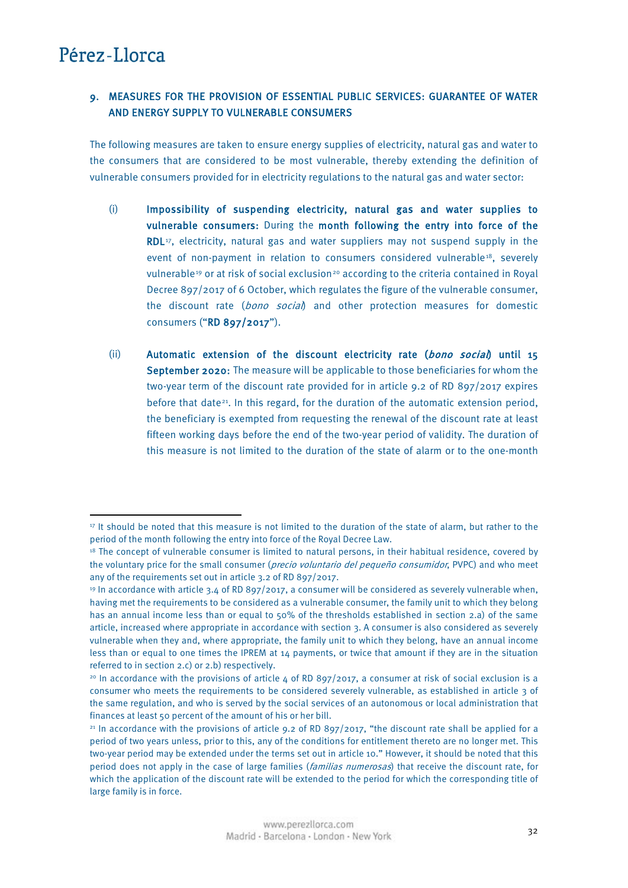<u>.</u>

### <span id="page-31-0"></span>9. MEASURES FOR THE PROVISION OF ESSENTIAL PUBLIC SERVICES: GUARANTEE OF WATER AND ENERGY SUPPLY TO VULNERABLE CONSUMERS

The following measures are taken to ensure energy supplies of electricity, natural gas and water to the consumers that are considered to be most vulnerable, thereby extending the definition of vulnerable consumers provided for in electricity regulations to the natural gas and water sector:

- (i) Impossibility of suspending electricity, natural gas and water supplies to vulnerable consumers: During the month following the entry into force of the RDL<sup>17</sup>, electricity, natural gas and water suppliers may not suspend supply in the event of non-payment in relation to consumers considered vulnerable<sup>18</sup>, severely vulnerable<sup>[19](#page-31-3)</sup> or at risk of social exclusion<sup>[20](#page-31-4)</sup> according to the criteria contained in Royal Decree 897/2017 of 6 October, which regulates the figure of the vulnerable consumer, the discount rate (bono social) and other protection measures for domestic consumers ("RD 897/2017").
- (ii) Automatic extension of the discount electricity rate (bono social) until 15 September 2020: The measure will be applicable to those beneficiaries for whom the two-year term of the discount rate provided for in article 9.2 of RD 897/2017 expires before that date<sup>[21](#page-32-1)</sup>. In this regard, for the duration of the automatic extension period, the beneficiary is exempted from requesting the renewal of the discount rate at least fifteen working days before the end of the two-year period of validity. The duration of this measure is not limited to the duration of the state of alarm or to the one-month

<sup>17</sup> It should be noted that this measure is not limited to the duration of the state of alarm, but rather to the period of the month following the entry into force of the Royal Decree Law.

<sup>&</sup>lt;sup>18</sup> The concept of vulnerable consumer is limited to natural persons, in their habitual residence, covered by the voluntary price for the small consumer (*precio voluntario del pequeño consumidor*, PVPC) and who meet any of the requirements set out in article 3.2 of RD 897/2017.

<span id="page-31-2"></span><span id="page-31-1"></span><sup>19</sup> In accordance with article 3.4 of RD 897/2017, a consumer will be considered as severely vulnerable when, having met the requirements to be considered as a vulnerable consumer, the family unit to which they belong has an annual income less than or equal to 50% of the thresholds established in section 2.a) of the same article, increased where appropriate in accordance with section 3. A consumer is also considered as severely vulnerable when they and, where appropriate, the family unit to which they belong, have an annual income less than or equal to one times the IPREM at 14 payments, or twice that amount if they are in the situation referred to in section 2.c) or 2.b) respectively.

<span id="page-31-3"></span> $20 \text{ In accordance with the provisions of article } 4 \text{ of RD } 897/2017$ , a consumer at risk of social exclusion is a consumer who meets the requirements to be considered severely vulnerable, as established in article 3 of the same regulation, and who is served by the social services of an autonomous or local administration that finances at least 50 percent of the amount of his or her bill.

<span id="page-31-4"></span> $21$  In accordance with the provisions of article 9.2 of RD 897/2017, "the discount rate shall be applied for a period of two years unless, prior to this, any of the conditions for entitlement thereto are no longer met. This two-year period may be extended under the terms set out in article 10." However, it should be noted that this period does not apply in the case of large families (*familias numerosas*) that receive the discount rate, for which the application of the discount rate will be extended to the period for which the corresponding title of large family is in force.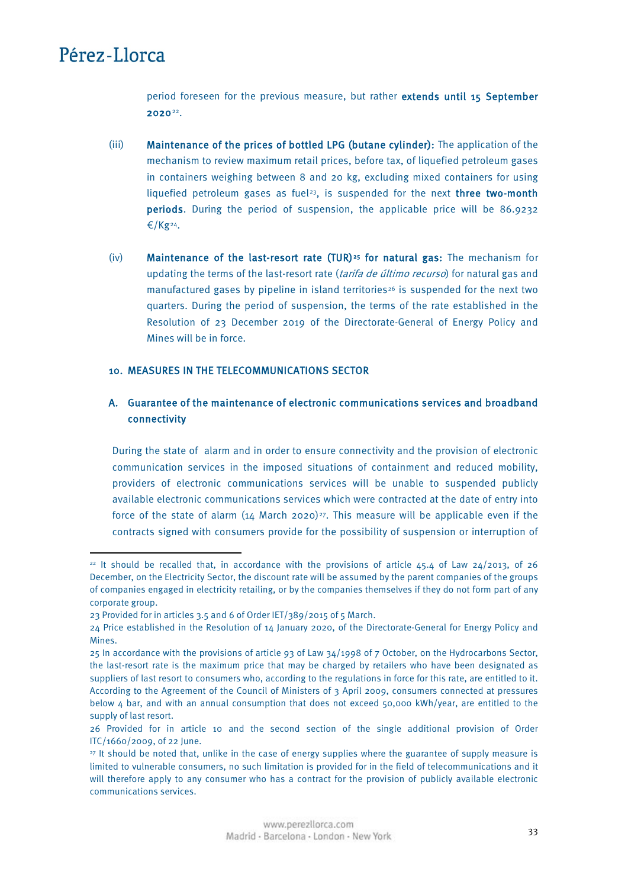<span id="page-32-1"></span>**.** 

<span id="page-32-0"></span>period foreseen for the previous measure, but rather extends until 15 September 2020[22](#page-32-2).

- (iii) Maintenance of the prices of bottled LPG (butane cylinder): The application of the mechanism to review maximum retail prices, before tax, of liquefied petroleum gases in containers weighing between 8 and 20 kg, excluding mixed containers for using liquefied petroleum gases as fuel<sup>[23](#page-32-3)</sup>, is suspended for the next **three two-month** periods. During the period of suspension, the applicable price will be 86.9232 €/Kg[24](#page-32-4).
- $(iv)$  Maintenance of the last-resort rate (TUR)<sup>25</sup> for natural gas: The mechanism for updating the terms of the last-resort rate (*tarifa de último recurso*) for natural gas and manufactured gases by pipeline in island territories<sup>[26](#page-32-6)</sup> is suspended for the next two quarters. During the period of suspension, the terms of the rate established in the Resolution of 23 December 2019 of the Directorate-General of Energy Policy and Mines will be in force.

#### 10. MEASURES IN THE TELECOMMUNICATIONS SECTOR

### A. Guarantee of the maintenance of electronic communications services and broadband connectivity

During the state of alarm and in order to ensure connectivity and the provision of electronic communication services in the imposed situations of containment and reduced mobility, providers of electronic communications services will be unable to suspended publicly available electronic communications services which were contracted at the date of entry into force of the state of alarm  $(14 \text{ March } 2020)^{27}$  $(14 \text{ March } 2020)^{27}$  $(14 \text{ March } 2020)^{27}$ . This measure will be applicable even if the contracts signed with consumers provide for the possibility of suspension or interruption of

 $22$  It should be recalled that, in accordance with the provisions of article 45.4 of Law  $24/2013$ , of 26 December, on the Electricity Sector, the discount rate will be assumed by the parent companies of the groups of companies engaged in electricity retailing, or by the companies themselves if they do not form part of any corporate group.

<span id="page-32-2"></span><sup>23</sup> Provided for in articles 3.5 and 6 of Order IET/389/2015 of 5 March.

<sup>24</sup> Price established in the Resolution of 14 January 2020, of the Directorate-General for Energy Policy and Mines.

<span id="page-32-4"></span><span id="page-32-3"></span><sup>25</sup> In accordance with the provisions of article 93 of Law 34/1998 of 7 October, on the Hydrocarbons Sector, the last-resort rate is the maximum price that may be charged by retailers who have been designated as suppliers of last resort to consumers who, according to the regulations in force for this rate, are entitled to it. According to the Agreement of the Council of Ministers of 3 April 2009, consumers connected at pressures below 4 bar, and with an annual consumption that does not exceed 50,000 kWh/year, are entitled to the supply of last resort.

<span id="page-32-5"></span><sup>26</sup> Provided for in article 10 and the second section of the single additional provision of Order ITC/1660/2009, of 22 June.

<span id="page-32-6"></span><sup>27</sup> It should be noted that, unlike in the case of energy supplies where the guarantee of supply measure is limited to vulnerable consumers, no such limitation is provided for in the field of telecommunications and it will therefore apply to any consumer who has a contract for the provision of publicly available electronic communications services.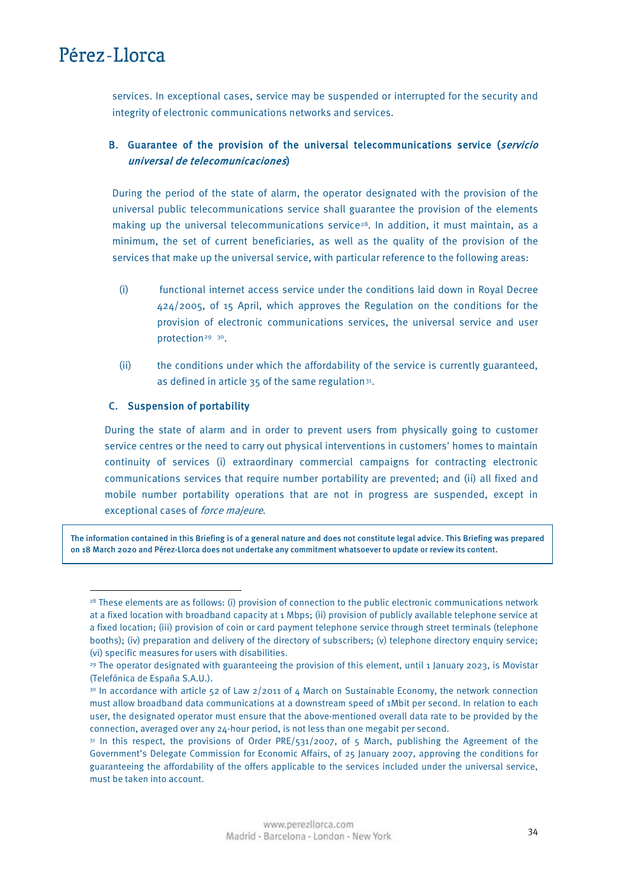services. In exceptional cases, service may be suspended or interrupted for the security and integrity of electronic communications networks and services.

### B. Guarantee of the provision of the universal telecommunications service (servicio universal de telecomunicaciones)

During the period of the state of alarm, the operator designated with the provision of the universal public telecommunications service shall guarantee the provision of the elements making up the universal telecommunications service<sup>28</sup>. In addition, it must maintain, as a minimum, the set of current beneficiaries, as well as the quality of the provision of the services that make up the universal service, with particular reference to the following areas:

- (i) functional internet access service under the conditions laid down in Royal Decree 424/2005, of 15 April, which approves the Regulation on the conditions for the provision of electronic communications services, the universal service and user protection<sup>29</sup> [30](#page-33-3).
- (ii) the conditions under which the affordability of the service is currently guaranteed, as defined in article  $35$  of the same regulation<sup>[31](#page-34-0)</sup>.

#### C. Suspension of portability

 $\overline{\phantom{a}}$ 

During the state of alarm and in order to prevent users from physically going to customer service centres or the need to carry out physical interventions in customers' homes to maintain continuity of services (i) extraordinary commercial campaigns for contracting electronic communications services that require number portability are prevented; and (ii) all fixed and mobile number portability operations that are not in progress are suspended, except in exceptional cases of force majeure.

The information contained in this Briefing is of a general nature and does not constitute legal advice. This Briefing was prepared on 18 March 2020 and Pérez-Llorca does not undertake any commitment whatsoever to update or review its content.

<span id="page-33-0"></span><sup>&</sup>lt;sup>28</sup> These elements are as follows: (i) provision of connection to the public electronic communications network at a fixed location with broadband capacity at 1 Mbps; (ii) provision of publicly available telephone service at a fixed location; (iii) provision of coin or card payment telephone service through street terminals (telephone booths); (iv) preparation and delivery of the directory of subscribers; (v) telephone directory enquiry service; (vi) specific measures for users with disabilities.

<span id="page-33-1"></span><sup>29</sup> The operator designated with guaranteeing the provision of this element, until 1 January 2023, is Movistar (Telefónica de España S.A.U.).

<sup>30</sup> In accordance with article 52 of Law 2/2011 of 4 March on Sustainable Economy, the network connection must allow broadband data communications at a downstream speed of 1Mbit per second. In relation to each user, the designated operator must ensure that the above-mentioned overall data rate to be provided by the connection, averaged over any 24-hour period, is not less than one megabit per second.

<span id="page-33-3"></span><span id="page-33-2"></span><sup>31</sup> In this respect, the provisions of Order PRE/531/2007, of 5 March, publishing the Agreement of the Government's Delegate Commission for Economic Affairs, of 25 January 2007, approving the conditions for guaranteeing the affordability of the offers applicable to the services included under the universal service, must be taken into account.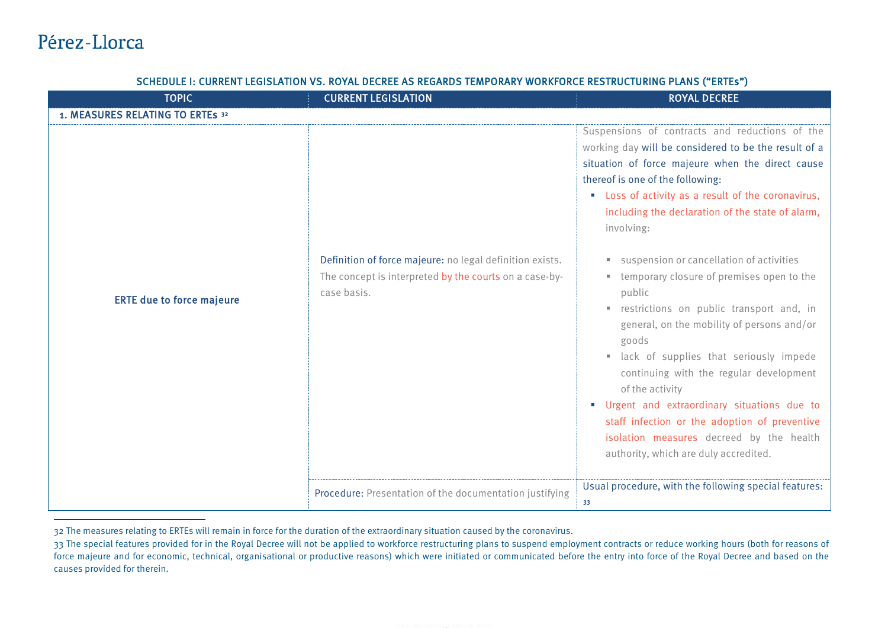**.** 

| <b>TOPIC</b>                     | <b>CURRENT LEGISLATION</b>                                                                                                        | <b>ROYAL DECREE</b>                                                                                                                                                                                                                                                                                                                                                                                                                                                                                                                                                                                                                                                                                                                                                                                                                           |
|----------------------------------|-----------------------------------------------------------------------------------------------------------------------------------|-----------------------------------------------------------------------------------------------------------------------------------------------------------------------------------------------------------------------------------------------------------------------------------------------------------------------------------------------------------------------------------------------------------------------------------------------------------------------------------------------------------------------------------------------------------------------------------------------------------------------------------------------------------------------------------------------------------------------------------------------------------------------------------------------------------------------------------------------|
| 1. MEASURES RELATING TO ERTES 32 |                                                                                                                                   |                                                                                                                                                                                                                                                                                                                                                                                                                                                                                                                                                                                                                                                                                                                                                                                                                                               |
| <b>ERTE due to force majeure</b> | Definition of force majeure: no legal definition exists.<br>The concept is interpreted by the courts on a case-by-<br>case basis. | Suspensions of contracts and reductions of the<br>working day will be considered to be the result of a<br>situation of force majeure when the direct cause<br>thereof is one of the following:<br>Loss of activity as a result of the coronavirus,<br>including the declaration of the state of alarm,<br>involving:<br>suspension or cancellation of activities<br>ш<br>temporary closure of premises open to the<br>ш<br>public<br>restrictions on public transport and, in<br>ш<br>general, on the mobility of persons and/or<br>goods<br>lack of supplies that seriously impede<br>m.<br>continuing with the regular development<br>of the activity<br>" Urgent and extraordinary situations due to<br>staff infection or the adoption of preventive<br>isolation measures decreed by the health<br>authority, which are duly accredited. |
|                                  | Procedure: Presentation of the documentation justifying                                                                           | Usual procedure, with the following special features:<br>33                                                                                                                                                                                                                                                                                                                                                                                                                                                                                                                                                                                                                                                                                                                                                                                   |

#### SCHEDULE I: CURRENT LEGISLATION VS. ROYAL DECREE AS REGARDS TEMPORARY WORKFORCE RESTRUCTURING PLANS ("ERTEs")

32 The measures relating to ERTEs will remain in force for the duration of the extraordinary situation caused by the coronavirus.

<span id="page-34-0"></span>33 The special features provided for in the Royal Decree will not be applied to workforce restructuring plans to suspend employment contracts or reduce working hours (both for reasons of force majeure and for economic, technical, organisational or productive reasons) which were initiated or communicated before the entry into force of the Royal Decree and based on the causes provided for therein.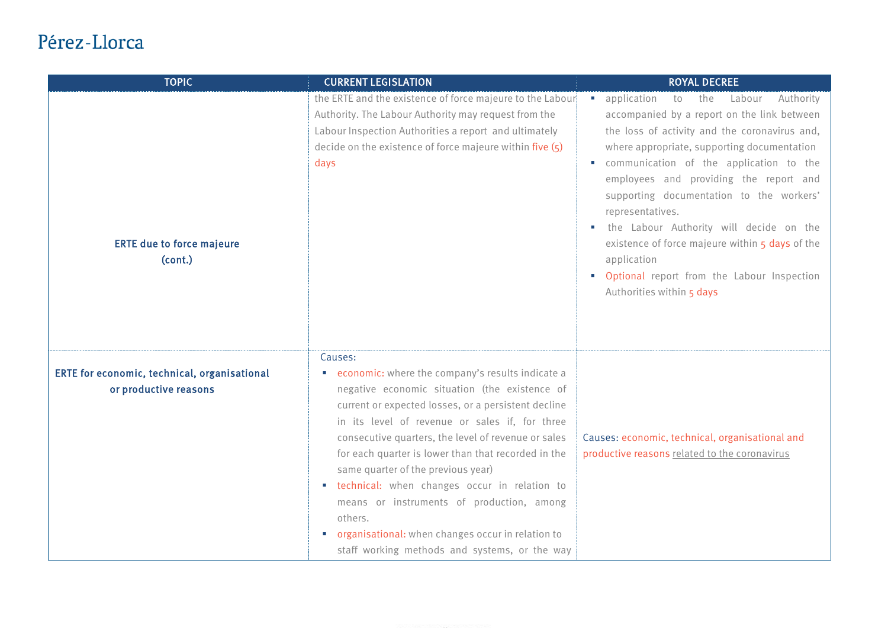<span id="page-35-0"></span>

| <b>TOPIC</b>                                                          | <b>CURRENT LEGISLATION</b>                                                                                                                                                                                                                                                                                                                                                                                                                                                                                                                                                                                   | <b>ROYAL DECREE</b>                                                                                                                                                                                                                                                                                                                                                                                                                                                                                                                                                                |
|-----------------------------------------------------------------------|--------------------------------------------------------------------------------------------------------------------------------------------------------------------------------------------------------------------------------------------------------------------------------------------------------------------------------------------------------------------------------------------------------------------------------------------------------------------------------------------------------------------------------------------------------------------------------------------------------------|------------------------------------------------------------------------------------------------------------------------------------------------------------------------------------------------------------------------------------------------------------------------------------------------------------------------------------------------------------------------------------------------------------------------------------------------------------------------------------------------------------------------------------------------------------------------------------|
| <b>ERTE due to force majeure</b><br>(cont.)                           | the ERTE and the existence of force majeure to the Labour<br>Authority. The Labour Authority may request from the<br>Labour Inspection Authorities a report and ultimately<br>decide on the existence of force majeure within five $(5)$<br>days                                                                                                                                                                                                                                                                                                                                                             | application<br>the<br>Labour<br>Authority<br>to<br>a.<br>accompanied by a report on the link between<br>the loss of activity and the coronavirus and,<br>where appropriate, supporting documentation<br>communication of the application to the<br>employees and providing the report and<br>supporting documentation to the workers'<br>representatives.<br>the Labour Authority will decide on the<br>$\mathcal{L}_{\mathcal{A}}$<br>existence of force majeure within 5 days of the<br>application<br>• Optional report from the Labour Inspection<br>Authorities within 5 days |
| ERTE for economic, technical, organisational<br>or productive reasons | Causes:<br><b>EXECOMOMIC:</b> where the company's results indicate a<br>negative economic situation (the existence of<br>current or expected losses, or a persistent decline<br>in its level of revenue or sales if, for three<br>consecutive quarters, the level of revenue or sales<br>for each quarter is lower than that recorded in the<br>same quarter of the previous year)<br>· technical: when changes occur in relation to<br>means or instruments of production, among<br>others.<br>organisational: when changes occur in relation to<br>$\sim$<br>staff working methods and systems, or the way | Causes: economic, technical, organisational and<br>productive reasons related to the coronavirus                                                                                                                                                                                                                                                                                                                                                                                                                                                                                   |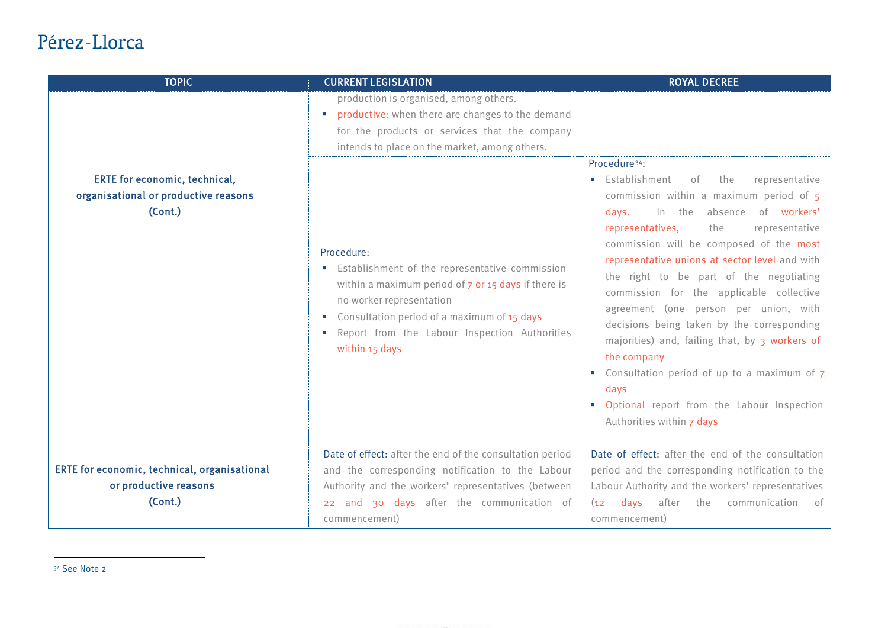<span id="page-36-0"></span>

| <b>TOPIC</b>                                                                     | <b>CURRENT LEGISLATION</b>                                                                                                                                                                                                                                                  | <b>ROYAL DECREE</b>                                                                                                                                                                                                                                                                                                                                                                                                                                                                                                                                                                                                                                                |
|----------------------------------------------------------------------------------|-----------------------------------------------------------------------------------------------------------------------------------------------------------------------------------------------------------------------------------------------------------------------------|--------------------------------------------------------------------------------------------------------------------------------------------------------------------------------------------------------------------------------------------------------------------------------------------------------------------------------------------------------------------------------------------------------------------------------------------------------------------------------------------------------------------------------------------------------------------------------------------------------------------------------------------------------------------|
|                                                                                  | production is organised, among others.<br>productive: when there are changes to the demand<br>for the products or services that the company<br>intends to place on the market, among others.                                                                                | Procedure <sup>34</sup> :                                                                                                                                                                                                                                                                                                                                                                                                                                                                                                                                                                                                                                          |
| ERTE for economic, technical,<br>organisational or productive reasons<br>(Cont.) | Procedure:<br>Establishment of the representative commission<br>within a maximum period of 7 or 15 days if there is<br>no worker representation<br>Consultation period of a maximum of 15 days<br>$\sim$<br>Report from the Labour Inspection Authorities<br>within 15 days | <b>Establishment</b><br>representative<br>оf<br>the<br>commission within a maximum period of 5<br>In the absence of workers'<br>davs.<br>the<br>representatives,<br>representative<br>commission will be composed of the most<br>representative unions at sector level and with<br>the right to be part of the negotiating<br>commission for the applicable collective<br>agreement (one person per union, with<br>decisions being taken by the corresponding<br>majorities) and, failing that, by 3 workers of<br>the company<br>Consultation period of up to a maximum of 7<br>davs<br>• Optional report from the Labour Inspection<br>Authorities within 7 days |
| ERTE for economic, technical, organisational<br>or productive reasons<br>(Cont.) | Date of effect: after the end of the consultation period<br>and the corresponding notification to the Labour<br>Authority and the workers' representatives (between<br>22 and 30 days after the communication of<br>commencement)                                           | Date of effect: after the end of the consultation<br>period and the corresponding notification to the<br>Labour Authority and the workers' representatives<br>after<br>communication<br>davs<br>the<br>(12)<br>of<br>commencement)                                                                                                                                                                                                                                                                                                                                                                                                                                 |

 $\overline{\phantom{a}}$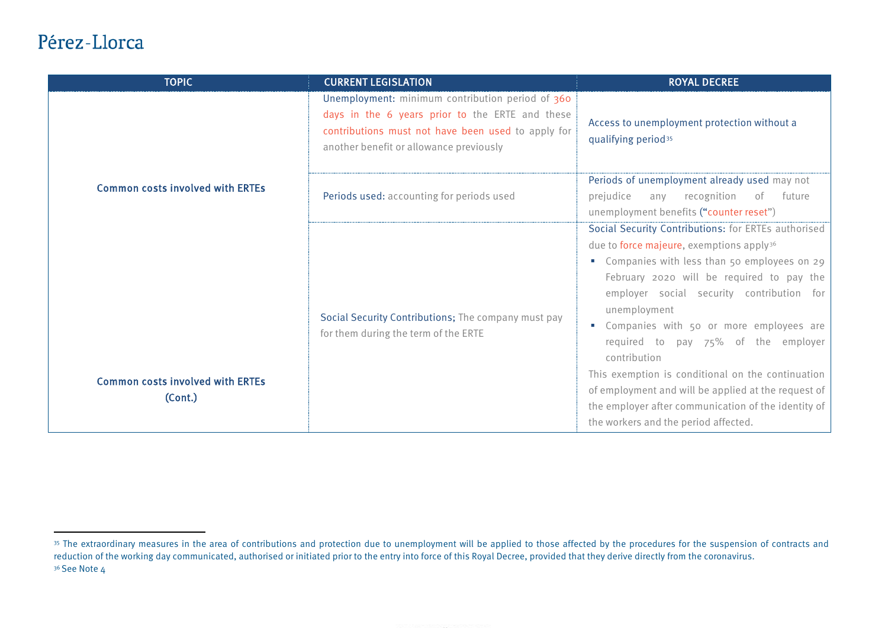**.** 

<span id="page-37-0"></span>

| <b>TOPIC</b>                                                                                  | <b>CURRENT LEGISLATION</b>                                                                                                                                                                           | <b>ROYAL DECREE</b>                                                                                                                                                                                                                                                                                                                                                      |
|-----------------------------------------------------------------------------------------------|------------------------------------------------------------------------------------------------------------------------------------------------------------------------------------------------------|--------------------------------------------------------------------------------------------------------------------------------------------------------------------------------------------------------------------------------------------------------------------------------------------------------------------------------------------------------------------------|
| <b>Common costs involved with ERTES</b><br><b>Common costs involved with ERTES</b><br>(Cont.) | Unemployment: minimum contribution period of 360<br>days in the 6 years prior to the ERTE and these<br>contributions must not have been used to apply for<br>another benefit or allowance previously | Access to unemployment protection without a<br>qualifying period <sup>35</sup>                                                                                                                                                                                                                                                                                           |
|                                                                                               | Periods used: accounting for periods used                                                                                                                                                            | Periods of unemployment already used may not<br>any recognition of<br>prejudice<br>future<br>unemployment benefits ("counter reset")                                                                                                                                                                                                                                     |
|                                                                                               | Social Security Contributions; The company must pay<br>for them during the term of the ERTE                                                                                                          | Social Security Contributions: for ERTEs authorised<br>due to force majeure, exemptions apply <sup>36</sup><br>Companies with less than 50 employees on 29<br>February 2020 will be required to pay the<br>employer social security contribution for<br>unemployment<br>" Companies with 50 or more employees are<br>required to pay 75% of the employer<br>contribution |
|                                                                                               |                                                                                                                                                                                                      | This exemption is conditional on the continuation<br>of employment and will be applied at the request of<br>the employer after communication of the identity of<br>the workers and the period affected.                                                                                                                                                                  |

<sup>35</sup> The extraordinary measures in the area of contributions and protection due to unemployment will be applied to those affected by the procedures for the suspension of contracts and reduction of the working day communicated, authorised or initiated prior to the entry into force of this Royal Decree, provided that they derive directly from the coronavirus. <sup>36</sup> See Note 4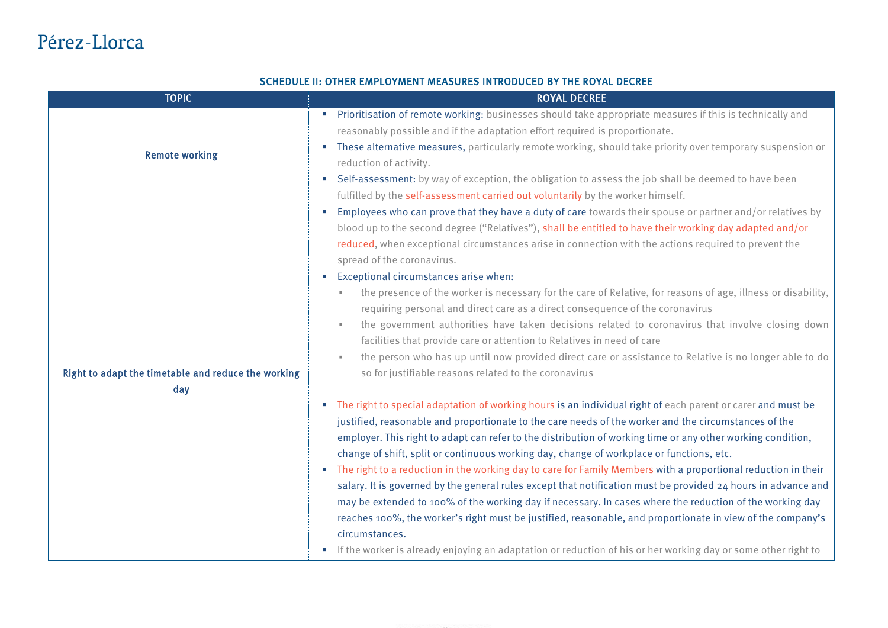#### <span id="page-38-1"></span><span id="page-38-0"></span>SCHEDULE II: OTHER EMPLOYMENT MEASURES INTRODUCED BY THE ROYAL DECREE

| <b>TOPIC</b>                                        | <b>ROYAL DECREE</b>                                                                                                                                                   |  |
|-----------------------------------------------------|-----------------------------------------------------------------------------------------------------------------------------------------------------------------------|--|
|                                                     | • Prioritisation of remote working: businesses should take appropriate measures if this is technically and                                                            |  |
| <b>Remote working</b>                               | reasonably possible and if the adaptation effort required is proportionate.                                                                                           |  |
|                                                     | These alternative measures, particularly remote working, should take priority over temporary suspension or<br>$\blacksquare$                                          |  |
|                                                     | reduction of activity.                                                                                                                                                |  |
|                                                     | Self-assessment: by way of exception, the obligation to assess the job shall be deemed to have been<br>$\blacksquare$                                                 |  |
|                                                     | fulfilled by the self-assessment carried out voluntarily by the worker himself.                                                                                       |  |
|                                                     | Employees who can prove that they have a duty of care towards their spouse or partner and/or relatives by<br>a.                                                       |  |
|                                                     | blood up to the second degree ("Relatives"), shall be entitled to have their working day adapted and/or                                                               |  |
|                                                     | reduced, when exceptional circumstances arise in connection with the actions required to prevent the                                                                  |  |
|                                                     | spread of the coronavirus.                                                                                                                                            |  |
|                                                     | <b>Exceptional circumstances arise when:</b>                                                                                                                          |  |
|                                                     | the presence of the worker is necessary for the care of Relative, for reasons of age, illness or disability,                                                          |  |
|                                                     | requiring personal and direct care as a direct consequence of the coronavirus                                                                                         |  |
|                                                     | the government authorities have taken decisions related to coronavirus that involve closing down<br>$\mathbf{u}$                                                      |  |
|                                                     | facilities that provide care or attention to Relatives in need of care                                                                                                |  |
| Right to adapt the timetable and reduce the working | the person who has up until now provided direct care or assistance to Relative is no longer able to do<br>×.<br>so for justifiable reasons related to the coronavirus |  |
| day                                                 |                                                                                                                                                                       |  |
|                                                     | • The right to special adaptation of working hours is an individual right of each parent or carer and must be                                                         |  |
|                                                     | justified, reasonable and proportionate to the care needs of the worker and the circumstances of the                                                                  |  |
|                                                     | employer. This right to adapt can refer to the distribution of working time or any other working condition,                                                           |  |
|                                                     | change of shift, split or continuous working day, change of workplace or functions, etc.                                                                              |  |
|                                                     | • The right to a reduction in the working day to care for Family Members with a proportional reduction in their                                                       |  |
|                                                     | salary. It is governed by the general rules except that notification must be provided 24 hours in advance and                                                         |  |
|                                                     | may be extended to 100% of the working day if necessary. In cases where the reduction of the working day                                                              |  |
|                                                     | reaches 100%, the worker's right must be justified, reasonable, and proportionate in view of the company's                                                            |  |
|                                                     | circumstances.                                                                                                                                                        |  |
|                                                     | If the worker is already enjoying an adaptation or reduction of his or her working day or some other right to                                                         |  |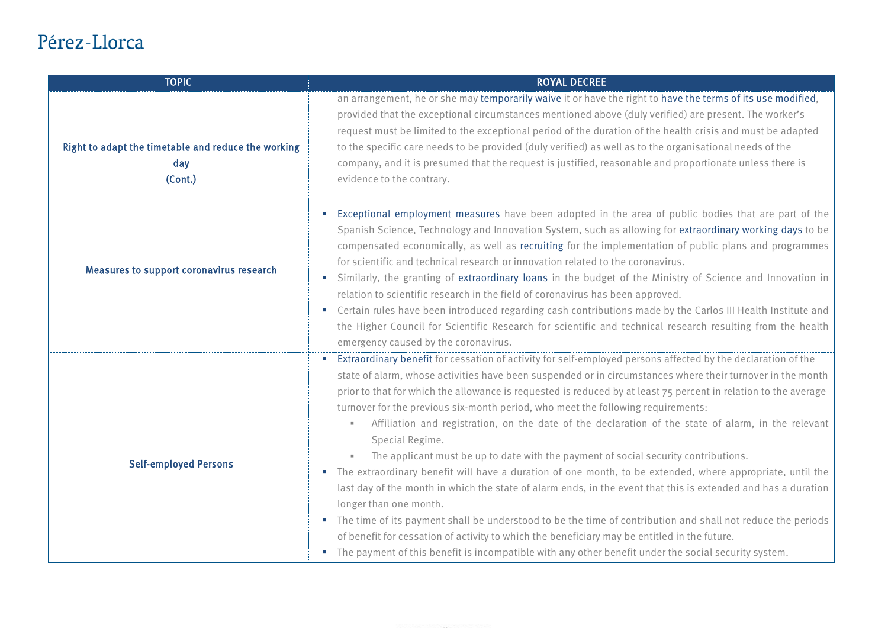| <b>TOPIC</b>                                                          | <b>ROYAL DECREE</b>                                                                                                                                                                                                                                                                                                                                                                                                                                                                                                                                                                                                                                                                                                                                                                                                                                                                                                                                                                                                                                                                                                                                                                                                                                                        |  |
|-----------------------------------------------------------------------|----------------------------------------------------------------------------------------------------------------------------------------------------------------------------------------------------------------------------------------------------------------------------------------------------------------------------------------------------------------------------------------------------------------------------------------------------------------------------------------------------------------------------------------------------------------------------------------------------------------------------------------------------------------------------------------------------------------------------------------------------------------------------------------------------------------------------------------------------------------------------------------------------------------------------------------------------------------------------------------------------------------------------------------------------------------------------------------------------------------------------------------------------------------------------------------------------------------------------------------------------------------------------|--|
| Right to adapt the timetable and reduce the working<br>day<br>(Cont.) | an arrangement, he or she may temporarily waive it or have the right to have the terms of its use modified,<br>provided that the exceptional circumstances mentioned above (duly verified) are present. The worker's<br>request must be limited to the exceptional period of the duration of the health crisis and must be adapted<br>to the specific care needs to be provided (duly verified) as well as to the organisational needs of the<br>company, and it is presumed that the request is justified, reasonable and proportionate unless there is<br>evidence to the contrary.                                                                                                                                                                                                                                                                                                                                                                                                                                                                                                                                                                                                                                                                                      |  |
| Measures to support coronavirus research                              | Exceptional employment measures have been adopted in the area of public bodies that are part of the<br>$\mathcal{L}_{\mathcal{A}}$<br>Spanish Science, Technology and Innovation System, such as allowing for extraordinary working days to be<br>compensated economically, as well as recruiting for the implementation of public plans and programmes<br>for scientific and technical research or innovation related to the coronavirus.<br>Similarly, the granting of extraordinary loans in the budget of the Ministry of Science and Innovation in<br>$\mathcal{L}_{\mathcal{A}}$<br>relation to scientific research in the field of coronavirus has been approved.<br>• Certain rules have been introduced regarding cash contributions made by the Carlos III Health Institute and<br>the Higher Council for Scientific Research for scientific and technical research resulting from the health<br>emergency caused by the coronavirus.                                                                                                                                                                                                                                                                                                                            |  |
| <b>Self-employed Persons</b>                                          | Extraordinary benefit for cessation of activity for self-employed persons affected by the declaration of the<br>$\mathcal{L}_{\mathcal{A}}$<br>state of alarm, whose activities have been suspended or in circumstances where their turnover in the month<br>prior to that for which the allowance is requested is reduced by at least 75 percent in relation to the average<br>turnover for the previous six-month period, who meet the following requirements:<br>Affiliation and registration, on the date of the declaration of the state of alarm, in the relevant<br>Special Regime.<br>The applicant must be up to date with the payment of social security contributions.<br>The extraordinary benefit will have a duration of one month, to be extended, where appropriate, until the<br>a.<br>last day of the month in which the state of alarm ends, in the event that this is extended and has a duration<br>longer than one month.<br>• The time of its payment shall be understood to be the time of contribution and shall not reduce the periods<br>of benefit for cessation of activity to which the beneficiary may be entitled in the future.<br>" The payment of this benefit is incompatible with any other benefit under the social security system. |  |